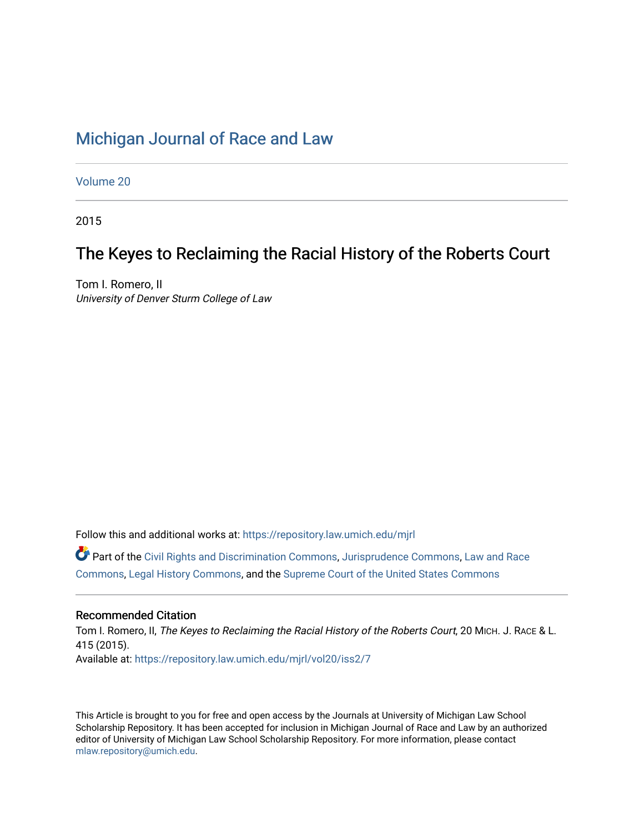## [Michigan Journal of Race and Law](https://repository.law.umich.edu/mjrl)

[Volume 20](https://repository.law.umich.edu/mjrl/vol20)

2015

# The Keyes to Reclaiming the Racial History of the Roberts Court

Tom I. Romero, II University of Denver Sturm College of Law

Follow this and additional works at: [https://repository.law.umich.edu/mjrl](https://repository.law.umich.edu/mjrl?utm_source=repository.law.umich.edu%2Fmjrl%2Fvol20%2Fiss2%2F7&utm_medium=PDF&utm_campaign=PDFCoverPages) 

Part of the [Civil Rights and Discrimination Commons,](http://network.bepress.com/hgg/discipline/585?utm_source=repository.law.umich.edu%2Fmjrl%2Fvol20%2Fiss2%2F7&utm_medium=PDF&utm_campaign=PDFCoverPages) [Jurisprudence Commons](http://network.bepress.com/hgg/discipline/610?utm_source=repository.law.umich.edu%2Fmjrl%2Fvol20%2Fiss2%2F7&utm_medium=PDF&utm_campaign=PDFCoverPages), [Law and Race](http://network.bepress.com/hgg/discipline/1300?utm_source=repository.law.umich.edu%2Fmjrl%2Fvol20%2Fiss2%2F7&utm_medium=PDF&utm_campaign=PDFCoverPages)  [Commons](http://network.bepress.com/hgg/discipline/1300?utm_source=repository.law.umich.edu%2Fmjrl%2Fvol20%2Fiss2%2F7&utm_medium=PDF&utm_campaign=PDFCoverPages), [Legal History Commons,](http://network.bepress.com/hgg/discipline/904?utm_source=repository.law.umich.edu%2Fmjrl%2Fvol20%2Fiss2%2F7&utm_medium=PDF&utm_campaign=PDFCoverPages) and the [Supreme Court of the United States Commons](http://network.bepress.com/hgg/discipline/1350?utm_source=repository.law.umich.edu%2Fmjrl%2Fvol20%2Fiss2%2F7&utm_medium=PDF&utm_campaign=PDFCoverPages)

## Recommended Citation

Tom I. Romero, II, The Keyes to Reclaiming the Racial History of the Roberts Court, 20 MICH. J. RACE & L. 415 (2015). Available at: [https://repository.law.umich.edu/mjrl/vol20/iss2/7](https://repository.law.umich.edu/mjrl/vol20/iss2/7?utm_source=repository.law.umich.edu%2Fmjrl%2Fvol20%2Fiss2%2F7&utm_medium=PDF&utm_campaign=PDFCoverPages) 

This Article is brought to you for free and open access by the Journals at University of Michigan Law School Scholarship Repository. It has been accepted for inclusion in Michigan Journal of Race and Law by an authorized editor of University of Michigan Law School Scholarship Repository. For more information, please contact [mlaw.repository@umich.edu.](mailto:mlaw.repository@umich.edu)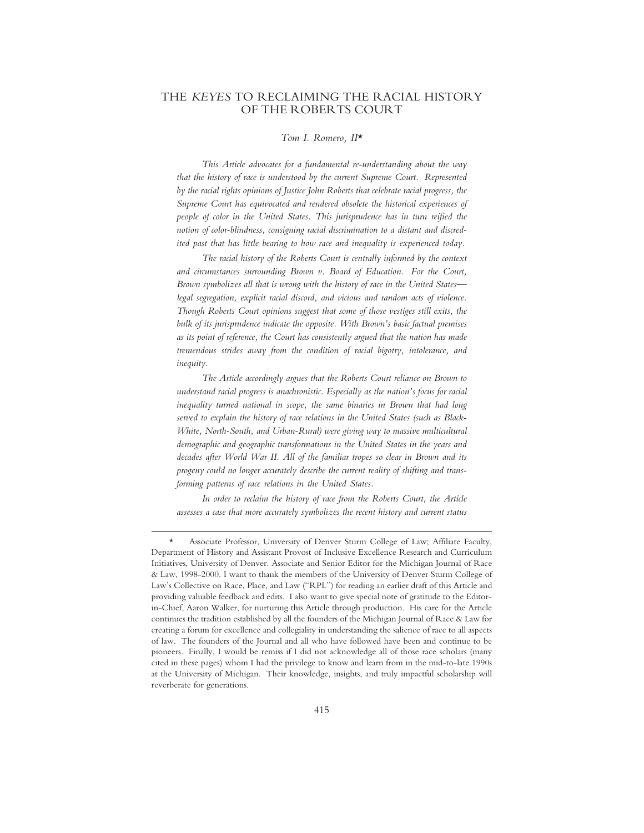### THE *KEYES* TO RECLAIMING THE RACIAL HISTORY OF THE ROBERTS COURT

#### *Tom I. Romero, II*\*

*This Article advocates for a fundamental re-understanding about the way that the history of race is understood by the current Supreme Court. Represented by the racial rights opinions of Justice John Roberts that celebrate racial progress, the Supreme Court has equivocated and rendered obsolete the historical experiences of people of color in the United States. This jurisprudence has in turn reified the notion of color-blindness, consigning racial discrimination to a distant and discredited past that has little bearing to how race and inequality is experienced today.*

*The racial history of the Roberts Court is centrally informed by the context and circumstances surrounding Brown v. Board of Education. For the Court, Brown symbolizes all that is wrong with the history of race in the United States legal segregation, explicit racial discord, and vicious and random acts of violence. Though Roberts Court opinions suggest that some of those vestiges still exits, the bulk of its jurisprudence indicate the opposite. With Brown's basic factual premises as its point of reference, the Court has consistently argued that the nation has made tremendous strides away from the condition of racial bigotry, intolerance, and inequity.*

*The Article accordingly argues that the Roberts Court reliance on Brown to understand racial progress is anachronistic. Especially as the nation's focus for racial inequality turned national in scope, the same binaries in Brown that had long served to explain the history of race relations in the United States (such as Black-White, North-South, and Urban-Rural) were giving way to massive multicultural demographic and geographic transformations in the United States in the years and decades after World War II. All of the familiar tropes so clear in Brown and its progeny could no longer accurately describe the current reality of shifting and transforming patterns of race relations in the United States.*

*In order to reclaim the history of race from the Roberts Court, the Article assesses a case that more accurately symbolizes the recent history and current status*

<sup>\*</sup> Associate Professor, University of Denver Sturm College of Law; Affiliate Faculty, Department of History and Assistant Provost of Inclusive Excellence Research and Curriculum Initiatives, University of Denver. Associate and Senior Editor for the Michigan Journal of Race & Law, 1998-2000. I want to thank the members of the University of Denver Sturm College of Law's Collective on Race, Place, and Law ("RPL") for reading an earlier draft of this Article and providing valuable feedback and edits. I also want to give special note of gratitude to the Editorin-Chief, Aaron Walker, for nurturing this Article through production. His care for the Article continues the tradition established by all the founders of the Michigan Journal of Race & Law for creating a forum for excellence and collegiality in understanding the salience of race to all aspects of law. The founders of the Journal and all who have followed have been and continue to be pioneers. Finally, I would be remiss if I did not acknowledge all of those race scholars (many cited in these pages) whom I had the privilege to know and learn from in the mid-to-late 1990s at the University of Michigan. Their knowledge, insights, and truly impactful scholarship will reverberate for generations.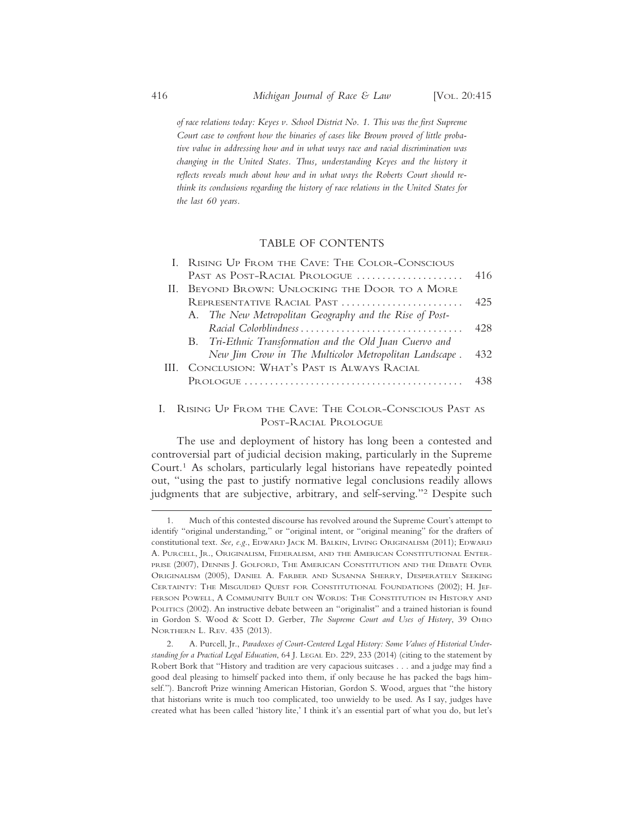*of race relations today: Keyes v. School District No. 1. This was the first Supreme Court case to confront how the binaries of cases like Brown proved of little probative value in addressing how and in what ways race and racial discrimination was changing in the United States. Thus, understanding Keyes and the history it reflects reveals much about how and in what ways the Roberts Court should rethink its conclusions regarding the history of race relations in the United States for the last 60 years.*

#### TABLE OF CONTENTS

| 416  |
|------|
|      |
| 425  |
|      |
| 42.8 |
|      |
| 432  |
|      |
| 438  |
|      |
|      |

#### I. RISING UP FROM THE CAVE: THE COLOR-CONSCIOUS PAST AS POST-RACIAL PROLOGUE

The use and deployment of history has long been a contested and controversial part of judicial decision making, particularly in the Supreme Court.1 As scholars, particularly legal historians have repeatedly pointed out, "using the past to justify normative legal conclusions readily allows judgments that are subjective, arbitrary, and self-serving."2 Despite such

<sup>1.</sup> Much of this contested discourse has revolved around the Supreme Court's attempt to identify "original understanding," or "original intent, or "original meaning" for the drafters of constitutional text. *See, e.g*., EDWARD JACK M. BALKIN, LIVING ORIGINALISM (2011); EDWARD A. PURCELL, JR., ORIGINALISM, FEDERALISM, AND THE AMERICAN CONSTITUTIONAL ENTER-PRISE (2007), DENNIS J. GOLFORD, THE AMERICAN CONSTITUTION AND THE DEBATE OVER ORIGINALISM (2005), DANIEL A. FARBER AND SUSANNA SHERRY, DESPERATELY SEEKING CERTAINTY: THE MISGUIDED QUEST FOR CONSTITUTIONAL FOUNDATIONS (2002); H. JEF-FERSON POWELL, A COMMUNITY BUILT ON WORDS: THE CONSTITUTION IN HISTORY AND POLITICS (2002). An instructive debate between an "originalist" and a trained historian is found in Gordon S. Wood & Scott D. Gerber, *The Supreme Court and Uses of History*, 39 OHIO NORTHERN L. REV. 435 (2013).

<sup>2.</sup> A. Purcell, Jr., *Paradoxes of Court-Centered Legal History: Some Values of Historical Understanding for a Practical Legal Education*, 64 J. LEGAL ED. 229, 233 (2014) (citing to the statement by Robert Bork that "History and tradition are very capacious suitcases . . . and a judge may find a good deal pleasing to himself packed into them, if only because he has packed the bags himself."). Bancroft Prize winning American Historian, Gordon S. Wood, argues that "the history that historians write is much too complicated, too unwieldy to be used. As I say, judges have created what has been called 'history lite,' I think it's an essential part of what you do, but let's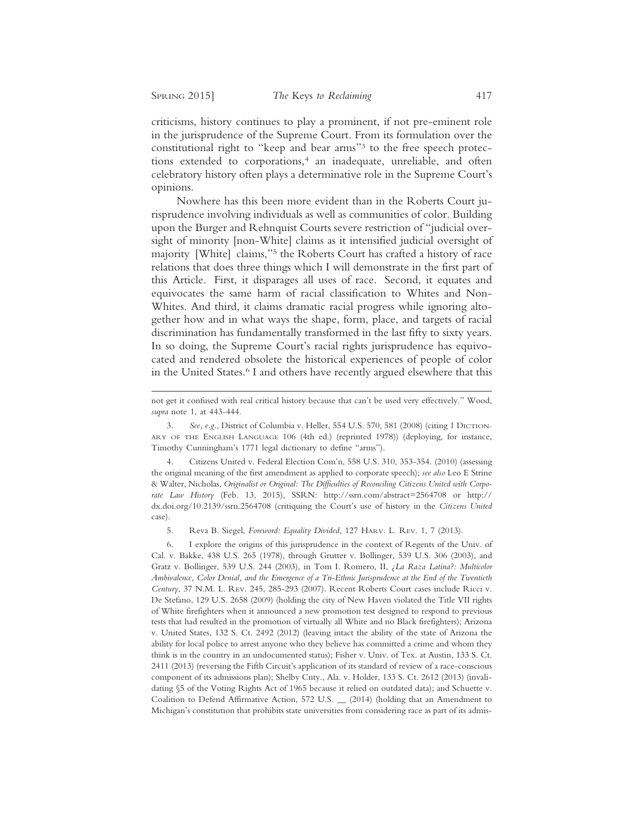criticisms, history continues to play a prominent, if not pre-eminent role in the jurisprudence of the Supreme Court. From its formulation over the constitutional right to "keep and bear arms"3 to the free speech protections extended to corporations,<sup>4</sup> an inadequate, unreliable, and often celebratory history often plays a determinative role in the Supreme Court's opinions.

Nowhere has this been more evident than in the Roberts Court jurisprudence involving individuals as well as communities of color. Building upon the Burger and Rehnquist Courts severe restriction of "judicial oversight of minority [non-White] claims as it intensified judicial oversight of majority [White] claims,"5 the Roberts Court has crafted a history of race relations that does three things which I will demonstrate in the first part of this Article. First, it disparages all uses of race. Second, it equates and equivocates the same harm of racial classification to Whites and Non-Whites. And third, it claims dramatic racial progress while ignoring altogether how and in what ways the shape, form, place, and targets of racial discrimination has fundamentally transformed in the last fifty to sixty years. In so doing, the Supreme Court's racial rights jurisprudence has equivocated and rendered obsolete the historical experiences of people of color in the United States.<sup>6</sup> I and others have recently argued elsewhere that this

5. Reva B. Siegel, *Foreword: Equality Divided*, 127 HARV. L. REV. 1, 7 (2013).

not get it confused with real critical history because that can't be used very effectively." Wood, *supra* note 1, at 443-444.

<sup>3.</sup> *See, e.g.*, District of Columbia v. Heller, 554 U.S. 570, 581 (2008) (citing 1 DICTION-ARY OF THE ENGLISH LANGUAGE 106 (4th ed.) (reprinted 1978)) (deploying, for instance, Timothy Cunningham's 1771 legal dictionary to define "arms").

<sup>4.</sup> Citizens United v. Federal Election Com'n, 558 U.S. 310, 353-354. (2010) (assessing the original meaning of the first amendment as applied to corporate speech); *see also* Leo E Strine & Walter, Nicholas, *Originalist or Original: The Difficulties of Reconciling Citizens United with Corporate Law History* (Feb. 13, 2015), SSRN: http://ssrn.com/abstract=2564708 or http:// dx.doi.org/10.2139/ssrn.2564708 (critiquing the Court's use of history in the *Citizens United* case).

<sup>6.</sup> I explore the origins of this jurisprudence in the context of Regents of the Univ. of Cal. v. Bakke, 438 U.S. 265 (1978), through Grutter v. Bollinger, 539 U.S. 306 (2003), and Gratz v. Bollinger, 539 U.S. 244 (2003), in Tom I. Romero, II, *¿La Raza Latina?: Multicolor Ambivalence, Color Denial, and the Emergence of a Tri-Ethnic Jurisprudence at the End of the Twentieth Century*, 37 N.M. L. REV. 245, 285-293 (2007). Recent Roberts Court cases include Ricci v. De Stefano, 129 U.S. 2658 (2009) (holding the city of New Haven violated the Title VII rights of White firefighters when it announced a new promotion test designed to respond to previous tests that had resulted in the promotion of virtually all White and no Black firefighters); Arizona v. United States, 132 S. Ct. 2492 (2012) (leaving intact the ability of the state of Arizona the ability for local police to arrest anyone who they believe has committed a crime and whom they think is in the country in an undocumented status); Fisher v. Univ. of Tex. at Austin, 133 S. Ct. 2411 (2013) (reversing the Fifth Circuit's application of its standard of review of a race-conscious component of its admissions plan); Shelby Cnty., Ala. v. Holder, 133 S. Ct. 2612 (2013) (invalidating §5 of the Voting Rights Act of 1965 because it relied on outdated data); and Schuette v. Coalition to Defend Affirmative Action, 572 U.S. \_\_ (2014) (holding that an Amendment to Michigan's constitution that prohibits state universities from considering race as part of its admis-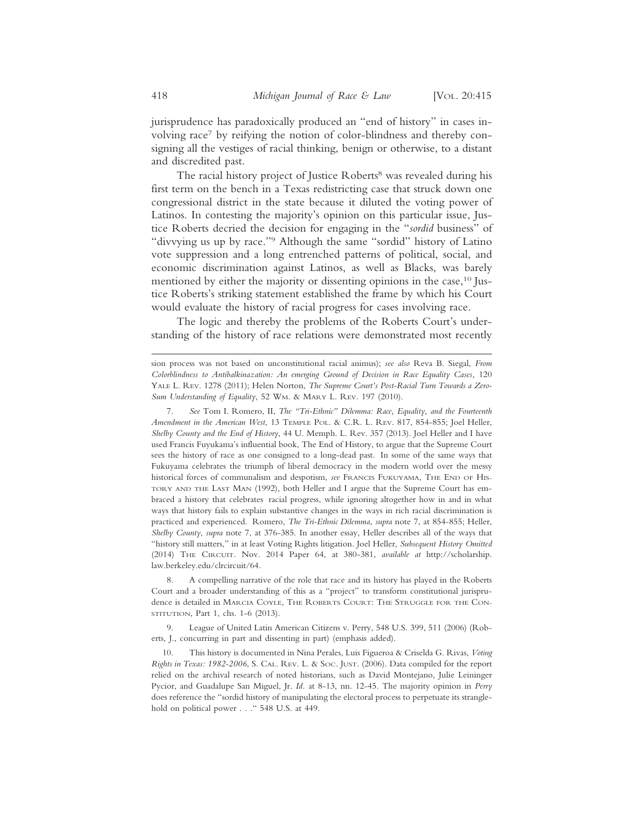jurisprudence has paradoxically produced an "end of history" in cases involving race7 by reifying the notion of color-blindness and thereby consigning all the vestiges of racial thinking, benign or otherwise, to a distant and discredited past.

The racial history project of Justice Roberts<sup>8</sup> was revealed during his first term on the bench in a Texas redistricting case that struck down one congressional district in the state because it diluted the voting power of Latinos. In contesting the majority's opinion on this particular issue, Justice Roberts decried the decision for engaging in the "*sordid* business" of "divvying us up by race."9 Although the same "sordid" history of Latino vote suppression and a long entrenched patterns of political, social, and economic discrimination against Latinos, as well as Blacks, was barely mentioned by either the majority or dissenting opinions in the case,<sup>10</sup> Justice Roberts's striking statement established the frame by which his Court would evaluate the history of racial progress for cases involving race.

The logic and thereby the problems of the Roberts Court's understanding of the history of race relations were demonstrated most recently

8. A compelling narrative of the role that race and its history has played in the Roberts Court and a broader understanding of this as a "project" to transform constitutional jurisprudence is detailed in MARCIA COYLE, THE ROBERTS COURT: THE STRUGGLE FOR THE CON-STITUTION, Part 1, chs. 1-6 (2013).

9. League of United Latin American Citizens v. Perry, 548 U.S. 399, 511 (2006) (Roberts, J., concurring in part and dissenting in part) (emphasis added).

sion process was not based on unconstitutional racial animus); *see also* Reva B. Siegal, *From Colorblindness to Antibalkinazation: An emerging Ground of Decision in Race Equality Cases,* 120 YALE L. REV. 1278 (2011); Helen Norton, *The Supreme Court's Post-Racial Turn Towards a Zero-Sum Understanding of Equality*, 52 WM. & MARY L. REV. 197 (2010).

<sup>7.</sup> *See* Tom I. Romero, II, *The "Tri-Ethnic" Dilemma: Race, Equality, and the Fourteenth Amendment in the American West*, 13 TEMPLE POL. & C.R. L. REV. 817, 854-855; Joel Heller, *Shelby County and the End of History*, 44 U. Memph. L. Rev. 357 (2013). Joel Heller and I have used Francis Fuyukama's influential book, The End of History, to argue that the Supreme Court sees the history of race as one consigned to a long-dead past. In some of the same ways that Fukuyama celebrates the triumph of liberal democracy in the modern world over the messy historical forces of communalism and despotism, *see* FRANCIS FUKUYAMA, THE END OF HIS-TORY AND THE LAST MAN (1992), both Heller and I argue that the Supreme Court has embraced a history that celebrates racial progress, while ignoring altogether how in and in what ways that history fails to explain substantive changes in the ways in rich racial discrimination is practiced and experienced. Romero, *The Tri-Ethnic Dilemma*, *supra* note 7, at 854-855; Heller, *Shelby County*, *supra* note 7, at 376-385. In another essay, Heller describes all of the ways that "history still matters," in at least Voting Rights litigation. Joel Heller, *Subsequent History Omitted* (2014) THE CIRCUIT. Nov. 2014 Paper 64, at 380-381, *available at* http://scholarship. law.berkeley.edu/clrcircuit/64.

<sup>10.</sup> This history is documented in Nina Perales, Luis Figueroa & Criselda G. Rivas, *Voting Rights in Texas: 1982-2006*, S. CAL. REV. L. & SOC. JUST. (2006). Data compiled for the report relied on the archival research of noted historians, such as David Montejano, Julie Leininger Pycior, and Guadalupe San Miguel, Jr. *Id.* at 8-13, nn. 12-45. The majority opinion in *Perry* does reference the "sordid history of manipulating the electoral process to perpetuate its stranglehold on political power . . ." 548 U.S. at 449.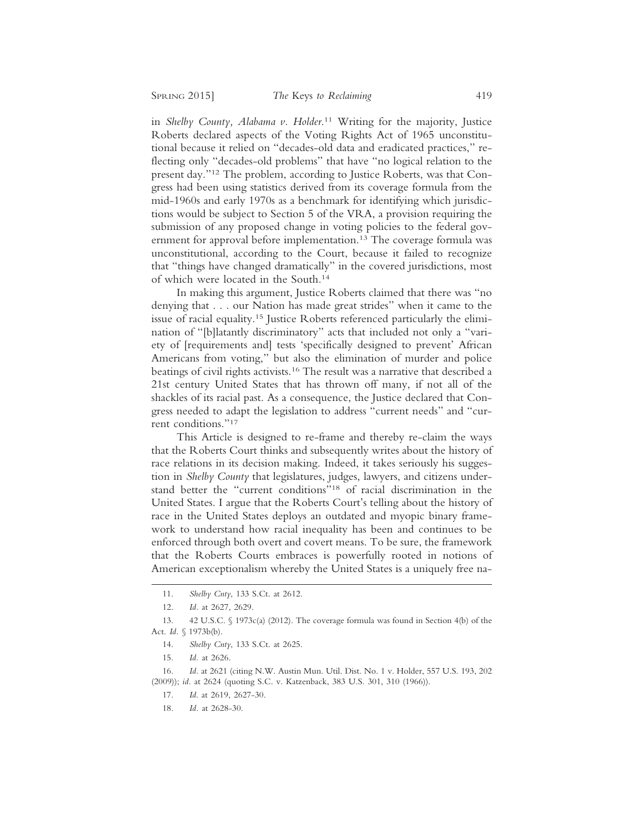in *Shelby County, Alabama v. Holder*. 11 Writing for the majority, Justice Roberts declared aspects of the Voting Rights Act of 1965 unconstitutional because it relied on "decades-old data and eradicated practices," reflecting only "decades-old problems" that have "no logical relation to the present day."12 The problem, according to Justice Roberts, was that Congress had been using statistics derived from its coverage formula from the mid-1960s and early 1970s as a benchmark for identifying which jurisdictions would be subject to Section 5 of the VRA, a provision requiring the submission of any proposed change in voting policies to the federal government for approval before implementation.<sup>13</sup> The coverage formula was unconstitutional, according to the Court, because it failed to recognize that "things have changed dramatically" in the covered jurisdictions, most of which were located in the South.14

In making this argument, Justice Roberts claimed that there was "no denying that . . . our Nation has made great strides" when it came to the issue of racial equality.15 Justice Roberts referenced particularly the elimination of "[b]latantly discriminatory" acts that included not only a "variety of [requirements and] tests 'specifically designed to prevent' African Americans from voting," but also the elimination of murder and police beatings of civil rights activists.16 The result was a narrative that described a 21st century United States that has thrown off many, if not all of the shackles of its racial past. As a consequence, the Justice declared that Congress needed to adapt the legislation to address "current needs" and "current conditions."17

This Article is designed to re-frame and thereby re-claim the ways that the Roberts Court thinks and subsequently writes about the history of race relations in its decision making. Indeed, it takes seriously his suggestion in *Shelby County* that legislatures, judges, lawyers, and citizens understand better the "current conditions"18 of racial discrimination in the United States. I argue that the Roberts Court's telling about the history of race in the United States deploys an outdated and myopic binary framework to understand how racial inequality has been and continues to be enforced through both overt and covert means. To be sure, the framework that the Roberts Courts embraces is powerfully rooted in notions of American exceptionalism whereby the United States is a uniquely free na-

<sup>11.</sup> *Shelby Cnty*, 133 S.Ct. at 2612.

<sup>12.</sup> *Id.* at 2627, 2629.

<sup>13. 42</sup> U.S.C. § 1973c(a) (2012). The coverage formula was found in Section 4(b) of the Act. *Id.* § 1973b(b).

<sup>14.</sup> *Shelby Cnty*, 133 S.Ct. at 2625.

<sup>15.</sup> *Id.* at 2626.

<sup>16.</sup> *Id.* at 2621 (citing N.W. Austin Mun. Util. Dist. No. 1 v. Holder, 557 U.S. 193, 202 (2009)); *id.* at 2624 (quoting S.C. v. Katzenback, 383 U.S. 301, 310 (1966)).

<sup>17.</sup> *Id*. at 2619, 2627-30.

<sup>18.</sup> *Id.* at 2628-30.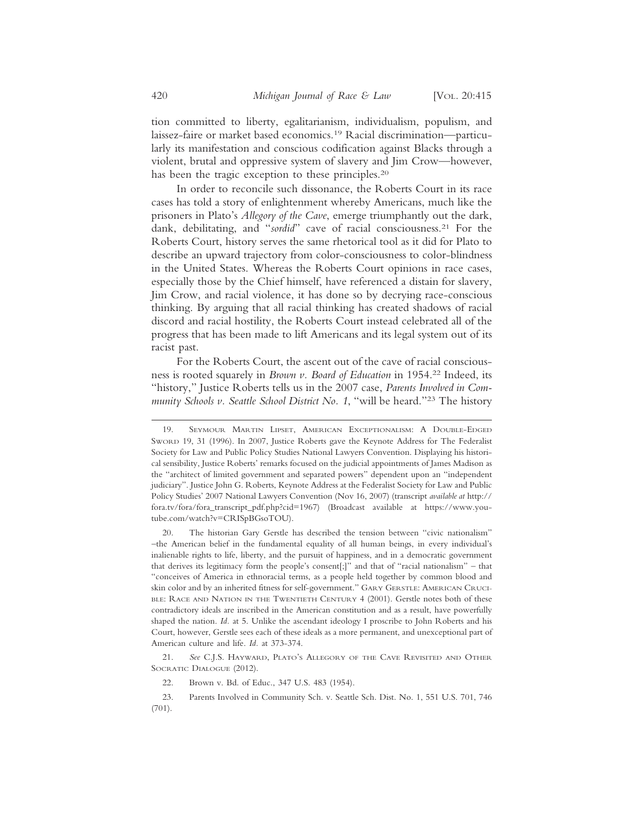tion committed to liberty, egalitarianism, individualism, populism, and laissez-faire or market based economics.19 Racial discrimination—particularly its manifestation and conscious codification against Blacks through a violent, brutal and oppressive system of slavery and Jim Crow—however, has been the tragic exception to these principles.<sup>20</sup>

In order to reconcile such dissonance, the Roberts Court in its race cases has told a story of enlightenment whereby Americans, much like the prisoners in Plato's *Allegory of the Cave*, emerge triumphantly out the dark, dank, debilitating, and "sordid" cave of racial consciousness.<sup>21</sup> For the Roberts Court, history serves the same rhetorical tool as it did for Plato to describe an upward trajectory from color-consciousness to color-blindness in the United States. Whereas the Roberts Court opinions in race cases, especially those by the Chief himself, have referenced a distain for slavery, Jim Crow, and racial violence, it has done so by decrying race-conscious thinking. By arguing that all racial thinking has created shadows of racial discord and racial hostility, the Roberts Court instead celebrated all of the progress that has been made to lift Americans and its legal system out of its racist past.

For the Roberts Court, the ascent out of the cave of racial consciousness is rooted squarely in *Brown v. Board of Education* in 1954.22 Indeed, its "history," Justice Roberts tells us in the 2007 case, *Parents Involved in Community Schools v. Seattle School District No. 1*, "will be heard."23 The history

22. Brown v. Bd. of Educ., 347 U.S. 483 (1954).

<sup>19.</sup> SEYMOUR MARTIN LIPSET, AMERICAN EXCEPTIONALISM: A DOUBLE-EDGED SWORD 19, 31 (1996). In 2007, Justice Roberts gave the Keynote Address for The Federalist Society for Law and Public Policy Studies National Lawyers Convention. Displaying his historical sensibility, Justice Roberts' remarks focused on the judicial appointments of James Madison as the "architect of limited government and separated powers" dependent upon an "independent judiciary". Justice John G. Roberts, Keynote Address at the Federalist Society for Law and Public Policy Studies' 2007 National Lawyers Convention (Nov 16, 2007) (transcript *available at* http:// fora.tv/fora/fora\_transcript\_pdf.php?cid=1967) (Broadcast available at https://www.youtube.com/watch?v=CRISpBGsoTOU).

<sup>20.</sup> The historian Gary Gerstle has described the tension between "civic nationalism" –the American belief in the fundamental equality of all human beings, in every individual's inalienable rights to life, liberty, and the pursuit of happiness, and in a democratic government that derives its legitimacy form the people's consent[;]" and that of "racial nationalism" – that "conceives of America in ethnoracial terms, as a people held together by common blood and skin color and by an inherited fitness for self-government." GARY GERSTLE: AMERICAN CRUCI-BLE: RACE AND NATION IN THE TWENTIETH CENTURY 4 (2001). Gerstle notes both of these contradictory ideals are inscribed in the American constitution and as a result, have powerfully shaped the nation. *Id.* at 5. Unlike the ascendant ideology I proscribe to John Roberts and his Court, however, Gerstle sees each of these ideals as a more permanent, and unexceptional part of American culture and life. *Id.* at 373-374.

<sup>21.</sup> *See* C.J.S. HAYWARD, PLATO'S ALLEGORY OF THE CAVE REVISITED AND OTHER SOCRATIC DIALOGUE (2012).

<sup>23.</sup> Parents Involved in Community Sch. v. Seattle Sch. Dist. No. 1, 551 U.S. 701, 746 (701).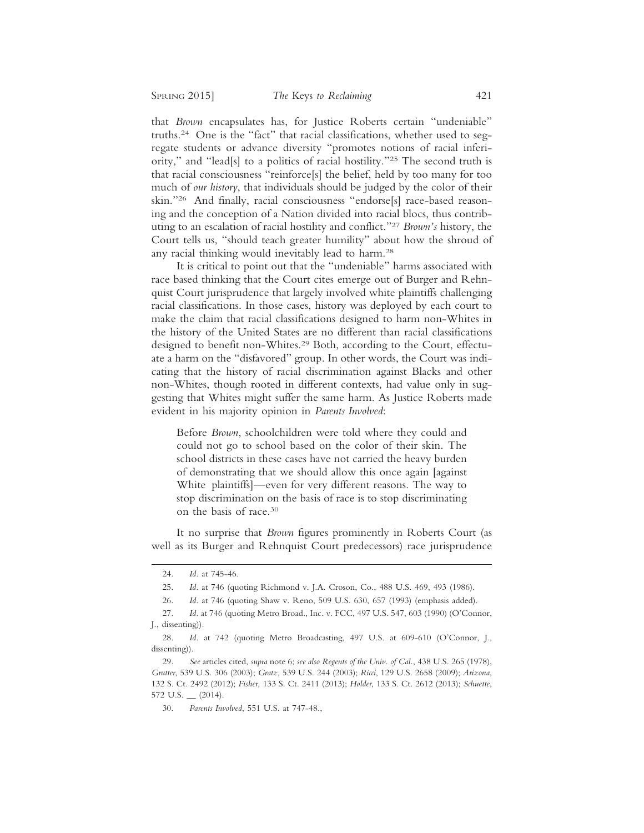that *Brown* encapsulates has, for Justice Roberts certain "undeniable" truths.24 One is the "fact" that racial classifications, whether used to segregate students or advance diversity "promotes notions of racial inferiority," and "lead[s] to a politics of racial hostility."25 The second truth is that racial consciousness "reinforce[s] the belief, held by too many for too much of *our history*, that individuals should be judged by the color of their skin."26 And finally, racial consciousness "endorse[s] race-based reasoning and the conception of a Nation divided into racial blocs, thus contributing to an escalation of racial hostility and conflict."27 *Brown's* history, the Court tells us, "should teach greater humility" about how the shroud of any racial thinking would inevitably lead to harm.28

It is critical to point out that the "undeniable" harms associated with race based thinking that the Court cites emerge out of Burger and Rehnquist Court jurisprudence that largely involved white plaintiffs challenging racial classifications. In those cases, history was deployed by each court to make the claim that racial classifications designed to harm non-Whites in the history of the United States are no different than racial classifications designed to benefit non-Whites.<sup>29</sup> Both, according to the Court, effectuate a harm on the "disfavored" group. In other words, the Court was indicating that the history of racial discrimination against Blacks and other non-Whites, though rooted in different contexts, had value only in suggesting that Whites might suffer the same harm. As Justice Roberts made evident in his majority opinion in *Parents Involved*:

Before *Brown*, schoolchildren were told where they could and could not go to school based on the color of their skin. The school districts in these cases have not carried the heavy burden of demonstrating that we should allow this once again [against White plaintiffs]—even for very different reasons. The way to stop discrimination on the basis of race is to stop discriminating on the basis of race.30

It no surprise that *Brown* figures prominently in Roberts Court (as well as its Burger and Rehnquist Court predecessors) race jurisprudence

<sup>24.</sup> *Id.* at 745-46.

<sup>25.</sup> *Id.* at 746 (quoting Richmond v. J.A. Croson, Co., 488 U.S. 469, 493 (1986).

<sup>26.</sup> *Id.* at 746 (quoting Shaw v. Reno, 509 U.S. 630, 657 (1993) (emphasis added).

<sup>27.</sup> *Id.* at 746 (quoting Metro Broad., Inc. v. FCC, 497 U.S. 547, 603 (1990) (O'Connor, J., dissenting)).

<sup>28.</sup> *Id.* at 742 (quoting Metro Broadcasting, 497 U.S. at 609-610 (O'Connor, J., dissenting)).

<sup>29.</sup> *See* articles cited, *supra* note 6; *see also Regents of the Univ. of Cal.*, 438 U.S. 265 (1978), *Grutter*, 539 U.S. 306 (2003); *Gratz*, 539 U.S. 244 (2003); *Ricci*, 129 U.S. 2658 (2009); *Arizona*, 132 S. Ct. 2492 (2012); *Fisher,* 133 S. Ct. 2411 (2013); *Holder*, 133 S. Ct. 2612 (2013); *Schuette*, 572 U.S. \_\_ (2014).

<sup>30.</sup> *Parents Involved*, 551 U.S. at 747-48.,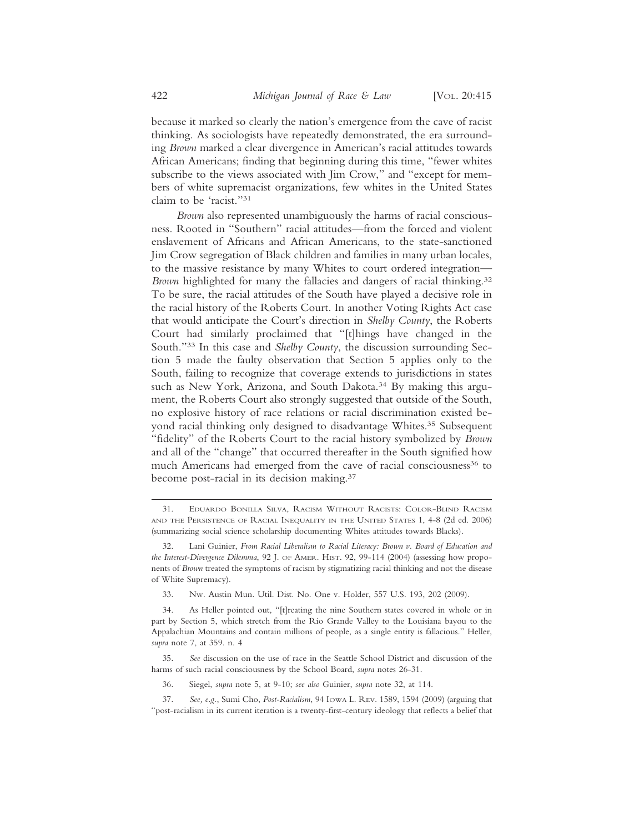because it marked so clearly the nation's emergence from the cave of racist thinking. As sociologists have repeatedly demonstrated, the era surrounding *Brown* marked a clear divergence in American's racial attitudes towards African Americans; finding that beginning during this time, "fewer whites subscribe to the views associated with Jim Crow," and "except for members of white supremacist organizations, few whites in the United States claim to be 'racist."31

*Brown* also represented unambiguously the harms of racial consciousness. Rooted in "Southern" racial attitudes—from the forced and violent enslavement of Africans and African Americans, to the state-sanctioned Jim Crow segregation of Black children and families in many urban locales, to the massive resistance by many Whites to court ordered integration— *Brown* highlighted for many the fallacies and dangers of racial thinking.<sup>32</sup> To be sure, the racial attitudes of the South have played a decisive role in the racial history of the Roberts Court. In another Voting Rights Act case that would anticipate the Court's direction in *Shelby County*, the Roberts Court had similarly proclaimed that "[t]hings have changed in the South."33 In this case and *Shelby County*, the discussion surrounding Section 5 made the faulty observation that Section 5 applies only to the South, failing to recognize that coverage extends to jurisdictions in states such as New York, Arizona, and South Dakota.<sup>34</sup> By making this argument, the Roberts Court also strongly suggested that outside of the South, no explosive history of race relations or racial discrimination existed beyond racial thinking only designed to disadvantage Whites.<sup>35</sup> Subsequent "fidelity" of the Roberts Court to the racial history symbolized by *Brown* and all of the "change" that occurred thereafter in the South signified how much Americans had emerged from the cave of racial consciousness<sup>36</sup> to become post-racial in its decision making.37

- 36. Siegel, *supra* note 5, at 9-10; *see also* Guinier, *supra* note 32, at 114.
- 37. *See, e.g.*, Sumi Cho, *Post-Racialism*, 94 IOWA L. REV. 1589, 1594 (2009) (arguing that "post-racialism in its current iteration is a twenty-first-century ideology that reflects a belief that

<sup>31.</sup> EDUARDO BONILLA SILVA, RACISM WITHOUT RACISTS: COLOR-BLIND RACISM AND THE PERSISTENCE OF RACIAL INEQUALITY IN THE UNITED STATES 1, 4-8 (2d ed. 2006) (summarizing social science scholarship documenting Whites attitudes towards Blacks).

<sup>32.</sup> Lani Guinier, *From Racial Liberalism to Racial Literacy: Brown v. Board of Education and the Interest-Divergence Dilemma*, 92 J. OF AMER. HIST. 92, 99-114 (2004) (assessing how proponents of *Brown* treated the symptoms of racism by stigmatizing racial thinking and not the disease of White Supremacy).

<sup>33.</sup> Nw. Austin Mun. Util. Dist. No. One v. Holder, 557 U.S. 193, 202 (2009).

<sup>34.</sup> As Heller pointed out, "[t]reating the nine Southern states covered in whole or in part by Section 5, which stretch from the Rio Grande Valley to the Louisiana bayou to the Appalachian Mountains and contain millions of people, as a single entity is fallacious." Heller, *supra* note 7, at 359. n. 4

<sup>35.</sup> *See* discussion on the use of race in the Seattle School District and discussion of the harms of such racial consciousness by the School Board, *supra* notes 26-31.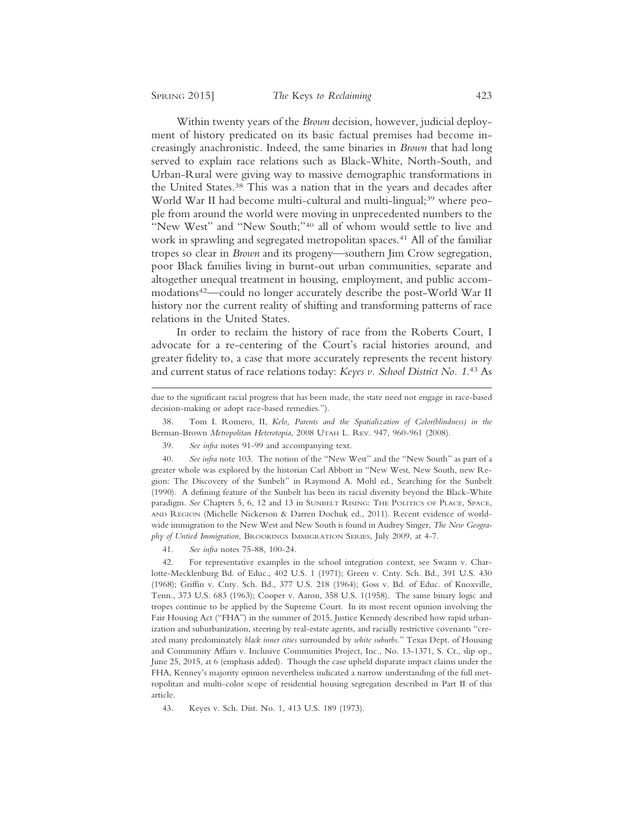Within twenty years of the *Brown* decision, however, judicial deployment of history predicated on its basic factual premises had become increasingly anachronistic. Indeed, the same binaries in *Brown* that had long served to explain race relations such as Black-White, North-South, and Urban-Rural were giving way to massive demographic transformations in the United States.38 This was a nation that in the years and decades after World War II had become multi-cultural and multi-lingual;<sup>39</sup> where people from around the world were moving in unprecedented numbers to the "New West" and "New South;"40 all of whom would settle to live and work in sprawling and segregated metropolitan spaces.<sup>41</sup> All of the familiar tropes so clear in *Brown* and its progeny—southern Jim Crow segregation, poor Black families living in burnt-out urban communities, separate and altogether unequal treatment in housing, employment, and public accommodations42—could no longer accurately describe the post-World War II history nor the current reality of shifting and transforming patterns of race relations in the United States.

In order to reclaim the history of race from the Roberts Court, I advocate for a re-centering of the Court's racial histories around, and greater fidelity to, a case that more accurately represents the recent history and current status of race relations today: *Keyes v. School District No. 1*. 43 As

38. Tom I. Romero, II, *Kelo, Parents and the Spatialization of Color(blindness) in the* Berman-Brown *Metropolitan Heterotopia*, 2008 UTAH L. REV. 947, 960-961 (2008).

39. *See infra* notes 91-99 and accompanying text.

40. *See infra* note 103. The notion of the "New West" and the "New South" as part of a greater whole was explored by the historian Carl Abbott in "New West, New South, new Region: The Discovery of the Sunbelt" in Raymond A. Mohl ed., Searching for the Sunbelt (1990). A defining feature of the Sunbelt has been its racial diversity beyond the Black-White paradigm. *See* Chapters 5, 6, 12 and 13 in SUNBELT RISING: THE POLITICS OF PLACE, SPACE, AND REGION (Michelle Nickerson & Darren Dochuk ed., 2011). Recent evidence of worldwide immigration to the New West and New South is found in Audrey Singer, *The New Geography of Untied Immigration*, BROOKINGS IMMIGRATION SERIES, July 2009, at 4-7.

41. *See infra* notes 75-88, 100-24.

42. For representative examples in the school integration context, see Swann v. Charlotte-Mecklenburg Bd. of Educ., 402 U.S. 1 (1971); Green v. Cnty. Sch. Bd., 391 U.S. 430 (1968); Griffin v. Cnty. Sch. Bd., 377 U.S. 218 (1964); Goss v. Bd. of Educ. of Knoxville, Tenn., 373 U.S. 683 (1963); Cooper v. Aaron, 358 U.S. 1(1958). The same binary logic and tropes continue to be applied by the Supreme Court. In its most recent opinion involving the Fair Housing Act ("FHA") in the summer of 2015, Justice Kennedy described how rapid urbanization and suburbanization, steering by real-estate agents, and racially restrictive covenants "created many predominately *black inner cities* surrounded by *white suburbs*." Texas Dept. of Housing and Community Affairs v. Inclusive Communities Project, Inc., No. 13-1371, S. Ct., slip op., June 25, 2015, at 6 (emphasis added). Though the case upheld disparate impact claims under the FHA, Kenney's majority opinion nevertheless indicated a narrow understanding of the full metropolitan and multi-color scope of residential housing segregation described in Part II of this article.

43. Keyes v. Sch. Dist. No. 1, 413 U.S. 189 (1973).

due to the significant racial progress that has been made, the state need not engage in race-based decision-making or adopt race-based remedies.").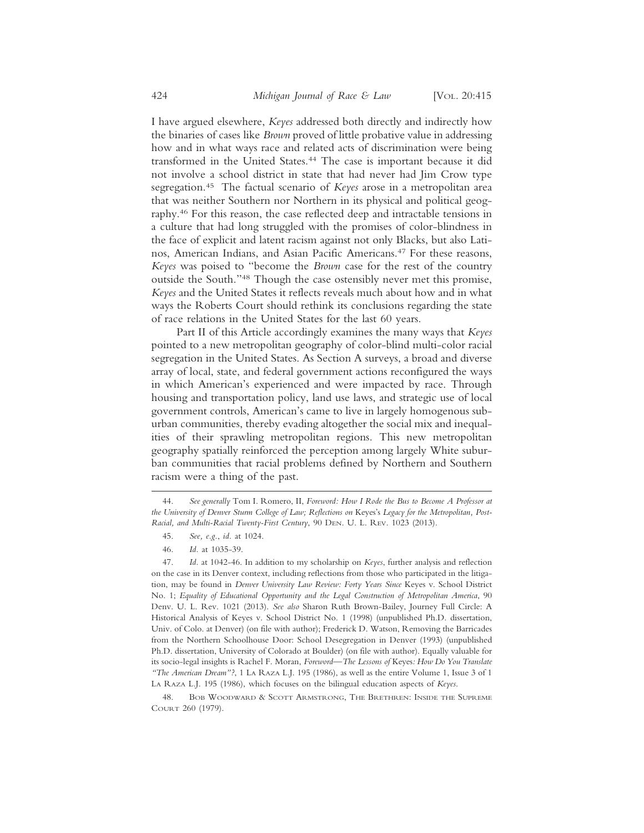I have argued elsewhere, *Keyes* addressed both directly and indirectly how the binaries of cases like *Brown* proved of little probative value in addressing how and in what ways race and related acts of discrimination were being transformed in the United States.44 The case is important because it did not involve a school district in state that had never had Jim Crow type segregation.45 The factual scenario of *Keyes* arose in a metropolitan area that was neither Southern nor Northern in its physical and political geography.46 For this reason, the case reflected deep and intractable tensions in a culture that had long struggled with the promises of color-blindness in the face of explicit and latent racism against not only Blacks, but also Latinos, American Indians, and Asian Pacific Americans.47 For these reasons, *Keyes* was poised to "become the *Brown* case for the rest of the country outside the South."48 Though the case ostensibly never met this promise, *Keyes* and the United States it reflects reveals much about how and in what ways the Roberts Court should rethink its conclusions regarding the state of race relations in the United States for the last 60 years.

Part II of this Article accordingly examines the many ways that *Keyes* pointed to a new metropolitan geography of color-blind multi-color racial segregation in the United States. As Section A surveys, a broad and diverse array of local, state, and federal government actions reconfigured the ways in which American's experienced and were impacted by race. Through housing and transportation policy, land use laws, and strategic use of local government controls, American's came to live in largely homogenous suburban communities, thereby evading altogether the social mix and inequalities of their sprawling metropolitan regions. This new metropolitan geography spatially reinforced the perception among largely White suburban communities that racial problems defined by Northern and Southern racism were a thing of the past.

<sup>44.</sup> *See generally* Tom I. Romero, II, *Foreword: How I Rode the Bus to Become A Professor at the University of Denver Sturm College of Law; Reflections on* Keyes's *Legacy for the Metropolitan, Post-Racial, and Multi-Racial Twenty-First Century*, 90 DEN. U. L. REV. 1023 (2013).

<sup>45.</sup> *See, e.g.*, *id.* at 1024.

<sup>46.</sup> *Id.* at 1035-39.

<sup>47.</sup> *Id.* at 1042-46. In addition to my scholarship on *Keyes*, further analysis and reflection on the case in its Denver context, including reflections from those who participated in the litigation, may be found in *Denver University Law Review: Forty Years Since* Keyes v. School District No. 1; *Equality of Educational Opportunity and the Legal Construction of Metropolitan America*, 90 Denv. U. L. Rev. 1021 (2013). *See also* Sharon Ruth Brown-Bailey, Journey Full Circle: A Historical Analysis of Keyes v. School District No. 1 (1998) (unpublished Ph.D. dissertation, Univ. of Colo. at Denver) (on file with author); Frederick D. Watson, Removing the Barricades from the Northern Schoolhouse Door: School Desegregation in Denver (1993) (unpublished Ph.D. dissertation, University of Colorado at Boulder) (on file with author). Equally valuable for its socio-legal insights is Rachel F. Moran, *Foreword—The Lessons of* Keyes*: How Do You Translate "The American Dream"?*, 1 LA RAZA L.J. 195 (1986), as well as the entire Volume 1, Issue 3 of 1 LA RAZA L.J. 195 (1986), which focuses on the bilingual education aspects of *Keyes*.

<sup>48.</sup> BOB WOODWARD & SCOTT ARMSTRONG, THE BRETHREN: INSIDE THE SUPREME COURT 260 (1979).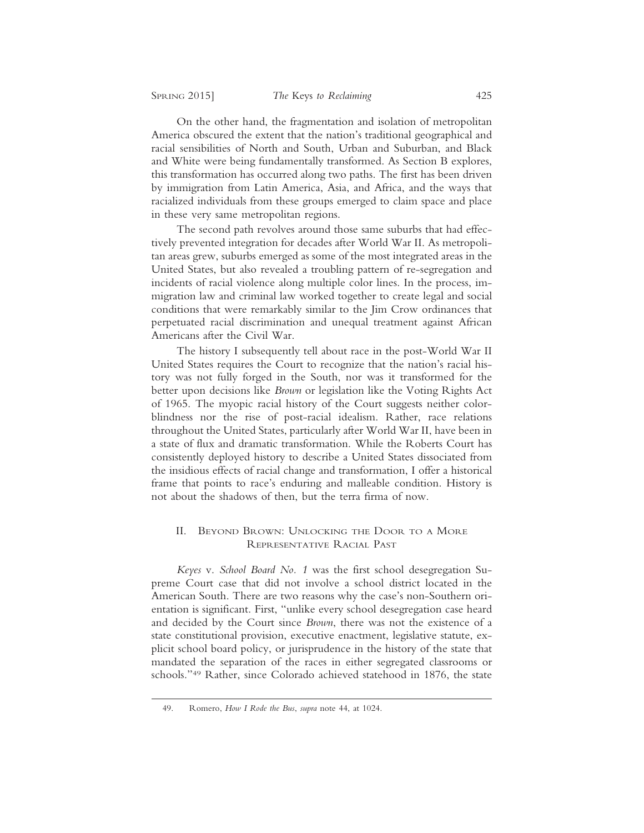On the other hand, the fragmentation and isolation of metropolitan America obscured the extent that the nation's traditional geographical and racial sensibilities of North and South, Urban and Suburban, and Black and White were being fundamentally transformed. As Section B explores, this transformation has occurred along two paths. The first has been driven by immigration from Latin America, Asia, and Africa, and the ways that racialized individuals from these groups emerged to claim space and place in these very same metropolitan regions.

The second path revolves around those same suburbs that had effectively prevented integration for decades after World War II. As metropolitan areas grew, suburbs emerged as some of the most integrated areas in the United States, but also revealed a troubling pattern of re-segregation and incidents of racial violence along multiple color lines. In the process, immigration law and criminal law worked together to create legal and social conditions that were remarkably similar to the Jim Crow ordinances that perpetuated racial discrimination and unequal treatment against African Americans after the Civil War.

The history I subsequently tell about race in the post-World War II United States requires the Court to recognize that the nation's racial history was not fully forged in the South, nor was it transformed for the better upon decisions like *Brown* or legislation like the Voting Rights Act of 1965. The myopic racial history of the Court suggests neither colorblindness nor the rise of post-racial idealism. Rather, race relations throughout the United States, particularly after World War II, have been in a state of flux and dramatic transformation. While the Roberts Court has consistently deployed history to describe a United States dissociated from the insidious effects of racial change and transformation, I offer a historical frame that points to race's enduring and malleable condition. History is not about the shadows of then, but the terra firma of now.

#### II. BEYOND BROWN: UNLOCKING THE DOOR TO A MORE REPRESENTATIVE RACIAL PAST

*Keyes* v. *School Board No. 1* was the first school desegregation Supreme Court case that did not involve a school district located in the American South. There are two reasons why the case's non-Southern orientation is significant. First, "unlike every school desegregation case heard and decided by the Court since *Brown*, there was not the existence of a state constitutional provision, executive enactment, legislative statute, explicit school board policy, or jurisprudence in the history of the state that mandated the separation of the races in either segregated classrooms or schools."49 Rather, since Colorado achieved statehood in 1876, the state

<sup>49.</sup> Romero, *How I Rode the Bus*, *supra* note 44, at 1024.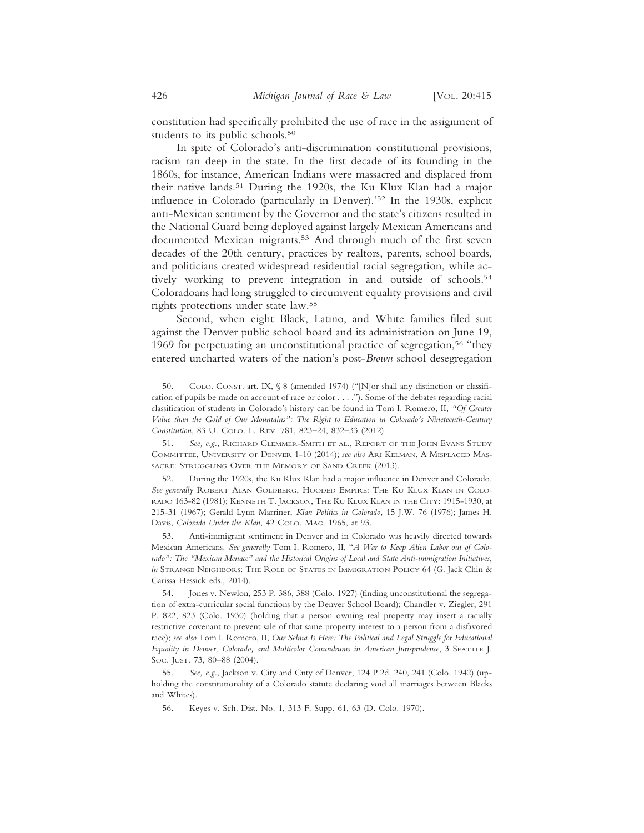constitution had specifically prohibited the use of race in the assignment of students to its public schools.<sup>50</sup>

In spite of Colorado's anti-discrimination constitutional provisions, racism ran deep in the state. In the first decade of its founding in the 1860s, for instance, American Indians were massacred and displaced from their native lands.51 During the 1920s, the Ku Klux Klan had a major influence in Colorado (particularly in Denver).'52 In the 1930s, explicit anti-Mexican sentiment by the Governor and the state's citizens resulted in the National Guard being deployed against largely Mexican Americans and documented Mexican migrants.<sup>53</sup> And through much of the first seven decades of the 20th century, practices by realtors, parents, school boards, and politicians created widespread residential racial segregation, while actively working to prevent integration in and outside of schools.54 Coloradoans had long struggled to circumvent equality provisions and civil rights protections under state law.55

Second, when eight Black, Latino, and White families filed suit against the Denver public school board and its administration on June 19, 1969 for perpetuating an unconstitutional practice of segregation,<sup>56</sup> "they entered uncharted waters of the nation's post-*Brown* school desegregation

<sup>50.</sup> COLO. CONST. art. IX, § 8 (amended 1974) ("[N]or shall any distinction or classification of pupils be made on account of race or color . . . ."). Some of the debates regarding racial classification of students in Colorado's history can be found in Tom I. Romero, II, *"Of Greater Value than the Gold of Our Mountains": The Right to Education in Colorado's Nineteenth-Century Constitution*, 83 U. COLO. L. REV. 781, 823–24, 832–33 (2012).

<sup>51.</sup> *See, e.g.*, RICHARD CLEMMER-SMITH ET AL., REPORT OF THE JOHN EVANS STUDY COMMITTEE, UNIVERSITY OF DENVER 1-10 (2014); *see also* ARI KELMAN, A MISPLACED MAS-SACRE: STRUGGLING OVER THE MEMORY OF SAND CREEK (2013).

<sup>52.</sup> During the 1920s, the Ku Klux Klan had a major influence in Denver and Colorado. *See generally* ROBERT ALAN GOLDBERG, HOODED EMPIRE: THE KU KLUX KLAN IN COLO-RADO 163-82 (1981); KENNETH T. JACKSON, THE KU KLUX KLAN IN THE CITY: 1915-1930, at 215-31 (1967); Gerald Lynn Marriner, *Klan Politics in Colorado*, 15 J.W. 76 (1976); James H. Davis, *Colorado Under the Klan*, 42 COLO. MAG. 1965, at 93.

<sup>53.</sup> Anti-immigrant sentiment in Denver and in Colorado was heavily directed towards Mexican Americans. *See generally* Tom I. Romero, II, "*A War to Keep Alien Labor out of Colorado": The "Mexican Menace" and the Historical Origins of Local and State Anti-immigration Initiatives*, *in* STRANGE NEIGHBORS: THE ROLE OF STATES IN IMMIGRATION POLICY 64 (G. Jack Chin & Carissa Hessick eds., 2014).

<sup>54.</sup> Jones v. Newlon, 253 P. 386, 388 (Colo. 1927) (finding unconstitutional the segregation of extra-curricular social functions by the Denver School Board); Chandler v. Ziegler, 291 P. 822, 823 (Colo. 1930) (holding that a person owning real property may insert a racially restrictive covenant to prevent sale of that same property interest to a person from a disfavored race); *see also* Tom I. Romero, II, *Our Selma Is Here: The Political and Legal Struggle for Educational Equality in Denver, Colorado, and Multicolor Conundrums in American Jurisprudence*, 3 SEATTLE J. SOC. JUST. 73, 80–88 (2004).

<sup>55.</sup> *See, e.g.*, Jackson v. City and Cnty of Denver, 124 P.2d. 240, 241 (Colo. 1942) (upholding the constitutionality of a Colorado statute declaring void all marriages between Blacks and Whites).

<sup>56.</sup> Keyes v. Sch. Dist. No. 1, 313 F. Supp. 61, 63 (D. Colo. 1970).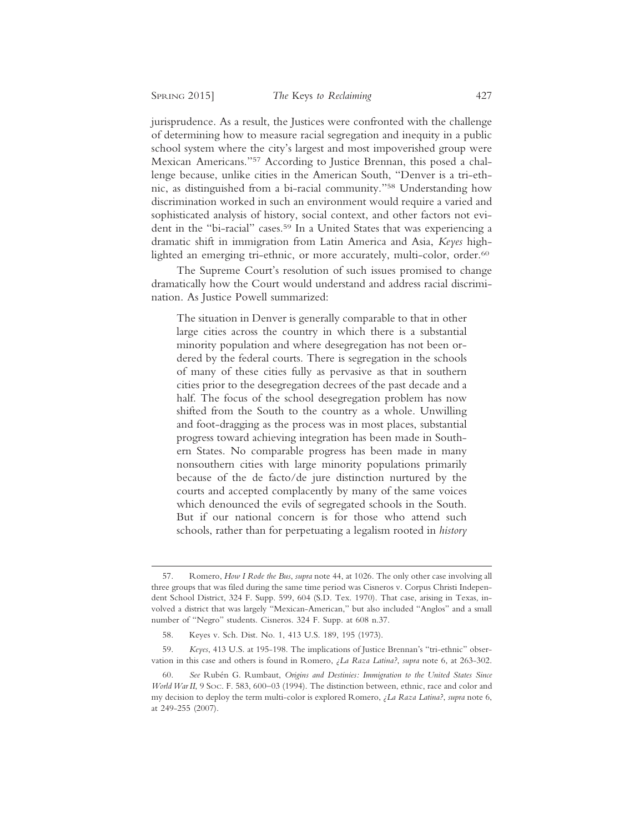jurisprudence. As a result, the Justices were confronted with the challenge of determining how to measure racial segregation and inequity in a public school system where the city's largest and most impoverished group were Mexican Americans."57 According to Justice Brennan, this posed a challenge because, unlike cities in the American South, "Denver is a tri-ethnic, as distinguished from a bi-racial community."58 Understanding how discrimination worked in such an environment would require a varied and sophisticated analysis of history, social context, and other factors not evident in the "bi-racial" cases.59 In a United States that was experiencing a dramatic shift in immigration from Latin America and Asia, *Keyes* highlighted an emerging tri-ethnic, or more accurately, multi-color, order.<sup>60</sup>

The Supreme Court's resolution of such issues promised to change dramatically how the Court would understand and address racial discrimination. As Justice Powell summarized:

The situation in Denver is generally comparable to that in other large cities across the country in which there is a substantial minority population and where desegregation has not been ordered by the federal courts. There is segregation in the schools of many of these cities fully as pervasive as that in southern cities prior to the desegregation decrees of the past decade and a half. The focus of the school desegregation problem has now shifted from the South to the country as a whole. Unwilling and foot-dragging as the process was in most places, substantial progress toward achieving integration has been made in Southern States. No comparable progress has been made in many nonsouthern cities with large minority populations primarily because of the de facto/de jure distinction nurtured by the courts and accepted complacently by many of the same voices which denounced the evils of segregated schools in the South. But if our national concern is for those who attend such schools, rather than for perpetuating a legalism rooted in *history*

<sup>57.</sup> Romero, *How I Rode the Bus*, *supra* note 44, at 1026. The only other case involving all three groups that was filed during the same time period was Cisneros v. Corpus Christi Independent School District, 324 F. Supp. 599, 604 (S.D. Tex. 1970). That case, arising in Texas, involved a district that was largely "Mexican-American," but also included "Anglos" and a small number of "Negro" students. Cisneros. 324 F. Supp. at 608 n.37.

<sup>58.</sup> Keyes v. Sch. Dist. No. 1, 413 U.S. 189, 195 (1973).

<sup>59.</sup> *Keyes*, 413 U.S. at 195-198. The implications of Justice Brennan's "tri-ethnic" observation in this case and others is found in Romero, *¿La Raza Latina?*, *supra* note 6, at 263-302.

<sup>60.</sup> *See* Rub´en G. Rumbaut, *Origins and Destinies: Immigration to the United States Since World War II*, 9 Soc. F. 583, 600–03 (1994). The distinction between, ethnic, race and color and my decision to deploy the term multi-color is explored Romero, *¿La Raza Latina?*, *supra* note 6, at 249-255 (2007).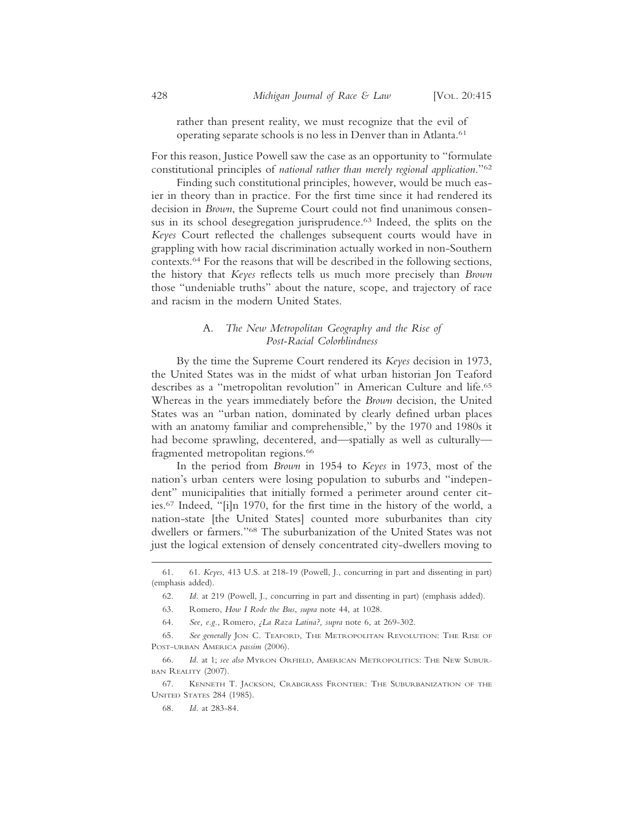rather than present reality, we must recognize that the evil of operating separate schools is no less in Denver than in Atlanta.61

For this reason, Justice Powell saw the case as an opportunity to "formulate constitutional principles of *national rather than merely regional application*."62

Finding such constitutional principles, however, would be much easier in theory than in practice. For the first time since it had rendered its decision in *Brown*, the Supreme Court could not find unanimous consensus in its school desegregation jurisprudence.63 Indeed, the splits on the *Keyes* Court reflected the challenges subsequent courts would have in grappling with how racial discrimination actually worked in non-Southern contexts.64 For the reasons that will be described in the following sections, the history that *Keyes* reflects tells us much more precisely than *Brown* those "undeniable truths" about the nature, scope, and trajectory of race and racism in the modern United States.

### A. *The New Metropolitan Geography and the Rise of Post-Racial Colorblindness*

By the time the Supreme Court rendered its *Keyes* decision in 1973, the United States was in the midst of what urban historian Jon Teaford describes as a "metropolitan revolution" in American Culture and life.65 Whereas in the years immediately before the *Brown* decision, the United States was an "urban nation, dominated by clearly defined urban places with an anatomy familiar and comprehensible," by the 1970 and 1980s it had become sprawling, decentered, and—spatially as well as culturally fragmented metropolitan regions.<sup>66</sup>

In the period from *Brown* in 1954 to *Keyes* in 1973, most of the nation's urban centers were losing population to suburbs and "independent" municipalities that initially formed a perimeter around center cities.67 Indeed, "[i]n 1970, for the first time in the history of the world, a nation-state [the United States] counted more suburbanites than city dwellers or farmers."68 The suburbanization of the United States was not just the logical extension of densely concentrated city-dwellers moving to

<sup>61. 61.</sup> *Keyes*, 413 U.S. at 218-19 (Powell, J., concurring in part and dissenting in part) (emphasis added).

<sup>62.</sup> *Id.* at 219 (Powell, J., concurring in part and dissenting in part) (emphasis added).

<sup>63.</sup> Romero, *How I Rode the Bus*, *supra* note 44, at 1028.

<sup>64.</sup> *See, e.g.*, Romero, *¿La Raza Latina?, supra* note 6, at 269-302.

<sup>65.</sup> *See generally* JON C. TEAFORD, THE METROPOLITAN REVOLUTION: THE RISE OF POST-URBAN AMERICA *passim* (2006).

<sup>66.</sup> *Id.* at 1; *see also* MYRON ORFIELD, AMERICAN METROPOLITICS: THE NEW SUBUR-BAN REALITY (2007).

<sup>67.</sup> KENNETH T. JACKSON, CRABGRASS FRONTIER: THE SUBURBANIZATION OF THE UNITED STATES 284 (1985).

<sup>68.</sup> *Id.* at 283-84.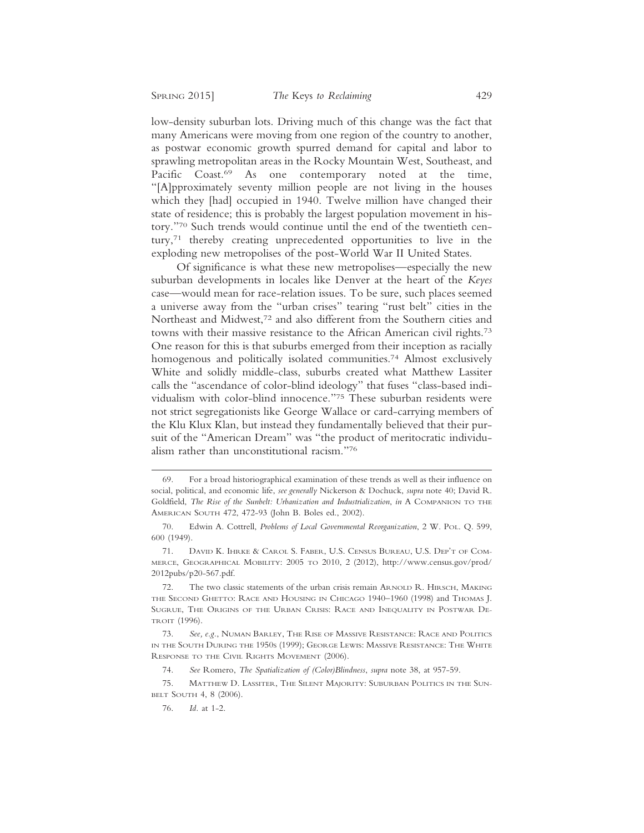low-density suburban lots. Driving much of this change was the fact that many Americans were moving from one region of the country to another, as postwar economic growth spurred demand for capital and labor to sprawling metropolitan areas in the Rocky Mountain West, Southeast, and Pacific Coast.<sup>69</sup> As one contemporary noted at the time, "[A]pproximately seventy million people are not living in the houses which they [had] occupied in 1940. Twelve million have changed their state of residence; this is probably the largest population movement in history."70 Such trends would continue until the end of the twentieth century,71 thereby creating unprecedented opportunities to live in the exploding new metropolises of the post-World War II United States.

Of significance is what these new metropolises—especially the new suburban developments in locales like Denver at the heart of the *Keyes* case—would mean for race-relation issues. To be sure, such places seemed a universe away from the "urban crises" tearing "rust belt" cities in the Northeast and Midwest,72 and also different from the Southern cities and towns with their massive resistance to the African American civil rights.73 One reason for this is that suburbs emerged from their inception as racially homogenous and politically isolated communities.<sup>74</sup> Almost exclusively White and solidly middle-class, suburbs created what Matthew Lassiter calls the "ascendance of color-blind ideology" that fuses "class-based individualism with color-blind innocence."75 These suburban residents were not strict segregationists like George Wallace or card-carrying members of the Klu Klux Klan, but instead they fundamentally believed that their pursuit of the "American Dream" was "the product of meritocratic individualism rather than unconstitutional racism."76

<sup>69.</sup> For a broad historiographical examination of these trends as well as their influence on social, political, and economic life, *see generally* Nickerson & Dochuck, *supra* note 40; David R. Goldfield, *The Rise of the Sunbelt: Urbanization and Industrialization*, *in* A COMPANION TO THE AMERICAN SOUTH 472, 472-93 (John B. Boles ed., 2002).

<sup>70.</sup> Edwin A. Cottrell, *Problems of Local Governmental Reorganization*, 2 W. POL. Q. 599, 600 (1949).

<sup>71.</sup> DAVID K. IHRKE & CAROL S. FABER, U.S. CENSUS BUREAU, U.S. DEP'T OF COM-MERCE, GEOGRAPHICAL MOBILITY: 2005 TO 2010, 2 (2012), http://www.census.gov/prod/ 2012pubs/p20-567.pdf.

<sup>72.</sup> The two classic statements of the urban crisis remain ARNOLD R. HIRSCH, MAKING THE SECOND GHETTO: RACE AND HOUSING IN CHICAGO 1940–1960 (1998) and THOMAS J. SUGRUE, THE ORIGINS OF THE URBAN CRISIS: RACE AND INEQUALITY IN POSTWAR DE-TROIT (1996).

<sup>73.</sup> *See, e.g.*, NUMAN BARLEY, THE RISE OF MASSIVE RESISTANCE: RACE AND POLITICS IN THE SOUTH DURING THE 1950S (1999); GEORGE LEWIS: MASSIVE RESISTANCE: THE WHITE RESPONSE TO THE CIVIL RIGHTS MOVEMENT (2006).

<sup>74.</sup> *See* Romero, *The Spatialization of (Color)Blindness*, *supra* note 38, at 957-59.

<sup>75.</sup> MATTHEW D. LASSITER, THE SILENT MAJORITY: SUBURBAN POLITICS IN THE SUN-BELT SOUTH 4, 8 (2006).

<sup>76.</sup> *Id.* at 1-2.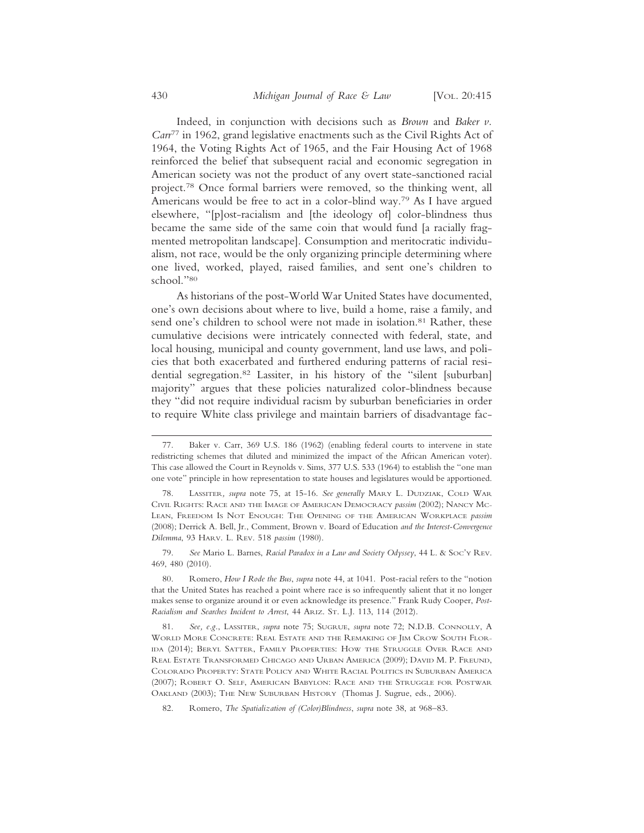Indeed, in conjunction with decisions such as *Brown* and *Baker v. Carr*77 in 1962, grand legislative enactments such as the Civil Rights Act of 1964, the Voting Rights Act of 1965, and the Fair Housing Act of 1968 reinforced the belief that subsequent racial and economic segregation in American society was not the product of any overt state-sanctioned racial project.78 Once formal barriers were removed, so the thinking went, all Americans would be free to act in a color-blind way.79 As I have argued elsewhere, "[p]ost-racialism and [the ideology of] color-blindness thus became the same side of the same coin that would fund [a racially fragmented metropolitan landscape]. Consumption and meritocratic individualism, not race, would be the only organizing principle determining where one lived, worked, played, raised families, and sent one's children to school."80

As historians of the post-World War United States have documented, one's own decisions about where to live, build a home, raise a family, and send one's children to school were not made in isolation.<sup>81</sup> Rather, these cumulative decisions were intricately connected with federal, state, and local housing, municipal and county government, land use laws, and policies that both exacerbated and furthered enduring patterns of racial residential segregation.82 Lassiter, in his history of the "silent [suburban] majority" argues that these policies naturalized color-blindness because they "did not require individual racism by suburban beneficiaries in order to require White class privilege and maintain barriers of disadvantage fac-

79. *See* Mario L. Barnes, *Racial Paradox in a Law and Society Odyssey*, 44 L. & SOC'Y REV. 469, 480 (2010).

80. Romero, *How I Rode the Bus*, *supra* note 44, at 1041. Post-racial refers to the "notion that the United States has reached a point where race is so infrequently salient that it no longer makes sense to organize around it or even acknowledge its presence." Frank Rudy Cooper, *Post-Racialism and Searches Incident to Arrest*, 44 ARIZ. ST. L.J. 113, 114 (2012).

81. *See, e.g.*, LASSITER, *supra* note 75; SUGRUE, *supra* note 72; N.D.B. CONNOLLY, A WORLD MORE CONCRETE: REAL ESTATE AND THE REMAKING OF JIM CROW SOUTH FLOR-IDA (2014); BERYL SATTER, FAMILY PROPERTIES: HOW THE STRUGGLE OVER RACE AND REAL ESTATE TRANSFORMED CHICAGO AND URBAN AMERICA (2009); DAVID M. P. FREUND, COLORADO PROPERTY: STATE POLICY AND WHITE RACIAL POLITICS IN SUBURBAN AMERICA (2007); ROBERT O. SELF, AMERICAN BABYLON: RACE AND THE STRUGGLE FOR POSTWAR OAKLAND (2003); THE NEW SUBURBAN HISTORY (Thomas J. Sugrue, eds., 2006).

82. Romero, *The Spatialization of (Color)Blindness*, *supra* note 38, at 968–83.

<sup>77.</sup> Baker v. Carr, 369 U.S. 186 (1962) (enabling federal courts to intervene in state redistricting schemes that diluted and minimized the impact of the African American voter). This case allowed the Court in Reynolds v. Sims, 377 U.S. 533 (1964) to establish the "one man one vote" principle in how representation to state houses and legislatures would be apportioned.

<sup>78.</sup> LASSITER*, supra* note 75, at 15-16. *See generally* MARY L. DUDZIAK, COLD WAR CIVIL RIGHTS: RACE AND THE IMAGE OF AMERICAN DEMOCRACY *passim* (2002); NANCY MC-LEAN, FREEDOM IS NOT ENOUGH: THE OPENING OF THE AMERICAN WORKPLACE *passim* (2008); Derrick A. Bell, Jr., Comment, Brown v. Board of Education *and the Interest-Convergence Dilemma*, 93 HARV. L. REV. 518 *passim* (1980).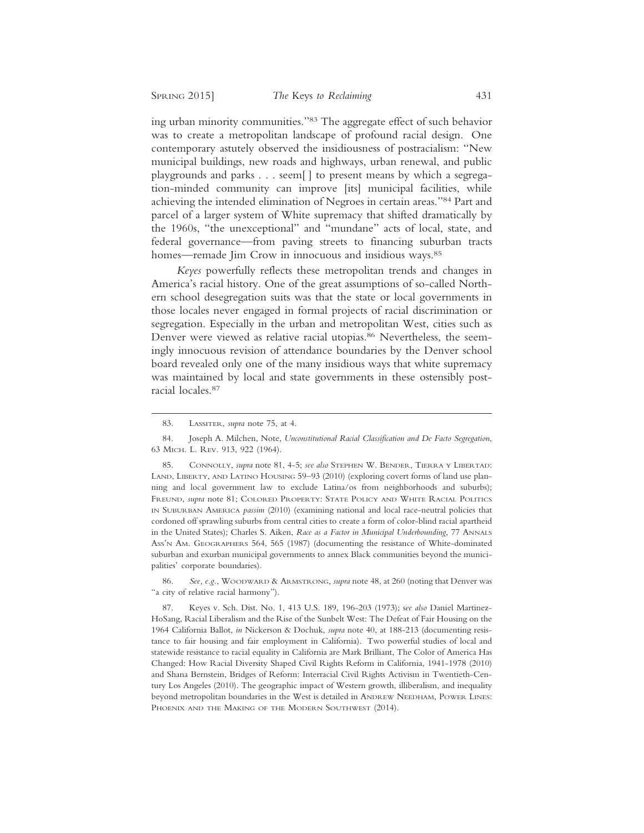ing urban minority communities."83 The aggregate effect of such behavior was to create a metropolitan landscape of profound racial design. One contemporary astutely observed the insidiousness of postracialism: "New municipal buildings, new roads and highways, urban renewal, and public playgrounds and parks . . . seem[ ] to present means by which a segregation-minded community can improve [its] municipal facilities, while achieving the intended elimination of Negroes in certain areas."84 Part and parcel of a larger system of White supremacy that shifted dramatically by the 1960s, "the unexceptional" and "mundane" acts of local, state, and federal governance—from paving streets to financing suburban tracts homes—remade Jim Crow in innocuous and insidious ways.<sup>85</sup>

*Keyes* powerfully reflects these metropolitan trends and changes in America's racial history. One of the great assumptions of so-called Northern school desegregation suits was that the state or local governments in those locales never engaged in formal projects of racial discrimination or segregation. Especially in the urban and metropolitan West, cities such as Denver were viewed as relative racial utopias.<sup>86</sup> Nevertheless, the seemingly innocuous revision of attendance boundaries by the Denver school board revealed only one of the many insidious ways that white supremacy was maintained by local and state governments in these ostensibly postracial locales.87

86. *See, e.g.*, WOODWARD & ARMSTRONG, *supra* note 48, at 260 (noting that Denver was "a city of relative racial harmony").

87. Keyes v. Sch. Dist. No. 1, 413 U.S. 189, 196-203 (1973); s*ee also* Daniel Martinez-HoSang, Racial Liberalism and the Rise of the Sunbelt West: The Defeat of Fair Housing on the 1964 California Ballot, *in* Nickerson & Dochuk, *supra* note 40, at 188-213 (documenting resistance to fair housing and fair employment in California). Two powerful studies of local and statewide resistance to racial equality in California are Mark Brilliant, The Color of America Has Changed: How Racial Diversity Shaped Civil Rights Reform in California, 1941-1978 (2010) and Shana Bernstein, Bridges of Reform: Interracial Civil Rights Activism in Twentieth-Century Los Angeles (2010). The geographic impact of Western growth, illiberalism, and inequality beyond metropolitan boundaries in the West is detailed in ANDREW NEEDHAM, POWER LINES: PHOENIX AND THE MAKING OF THE MODERN SOUTHWEST (2014).

<sup>83.</sup> LASSITER, *supra* note 75, at 4.

<sup>84.</sup> Joseph A. Milchen, Note, *Unconstitutional Racial Classification and De Facto Segregation*, 63 MICH. L. REV. 913, 922 (1964).

<sup>85.</sup> CONNOLLY, *supra* note 81, 4-5; *see also* STEPHEN W. BENDER, TIERRA Y LIBERTAD: LAND, LIBERTY, AND LATINO HOUSING 59–93 (2010) (exploring covert forms of land use planning and local government law to exclude Latina/os from neighborhoods and suburbs); FREUND, *supra* note 81; COLORED PROPERTY: STATE POLICY AND WHITE RACIAL POLITICS IN SUBURBAN AMERICA *passim* (2010) (examining national and local race-neutral policies that cordoned off sprawling suburbs from central cities to create a form of color-blind racial apartheid in the United States); Charles S. Aiken, *Race as a Factor in Municipal Underbounding*, 77 ANNALS ASS'N AM. GEOGRAPHERS 564, 565 (1987) (documenting the resistance of White-dominated suburban and exurban municipal governments to annex Black communities beyond the municipalities' corporate boundaries).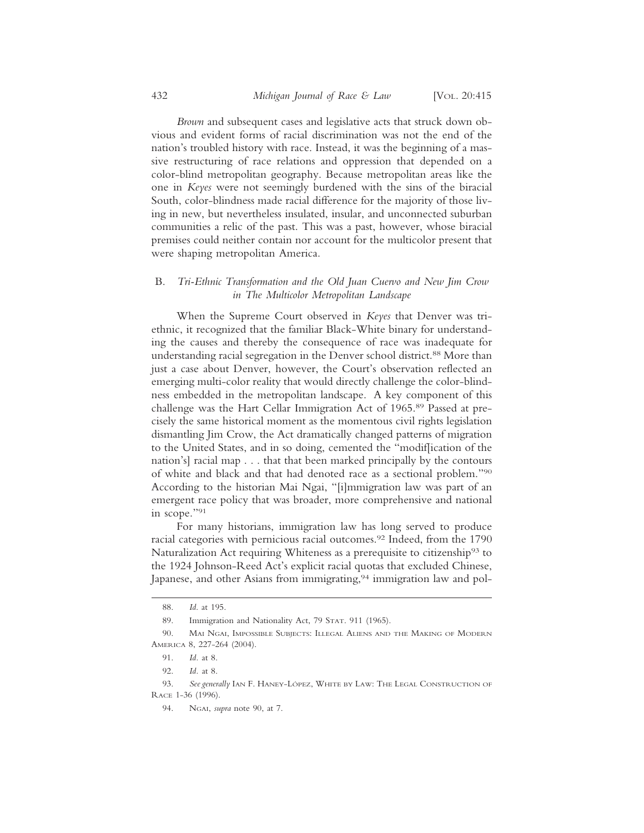*Brown* and subsequent cases and legislative acts that struck down obvious and evident forms of racial discrimination was not the end of the nation's troubled history with race. Instead, it was the beginning of a massive restructuring of race relations and oppression that depended on a color-blind metropolitan geography. Because metropolitan areas like the one in *Keyes* were not seemingly burdened with the sins of the biracial South, color-blindness made racial difference for the majority of those living in new, but nevertheless insulated, insular, and unconnected suburban communities a relic of the past. This was a past, however, whose biracial premises could neither contain nor account for the multicolor present that were shaping metropolitan America.

#### B. *Tri-Ethnic Transformation and the Old Juan Cuervo and New Jim Crow in The Multicolor Metropolitan Landscape*

When the Supreme Court observed in *Keyes* that Denver was triethnic, it recognized that the familiar Black-White binary for understanding the causes and thereby the consequence of race was inadequate for understanding racial segregation in the Denver school district.<sup>88</sup> More than just a case about Denver, however, the Court's observation reflected an emerging multi-color reality that would directly challenge the color-blindness embedded in the metropolitan landscape. A key component of this challenge was the Hart Cellar Immigration Act of 1965.89 Passed at precisely the same historical moment as the momentous civil rights legislation dismantling Jim Crow, the Act dramatically changed patterns of migration to the United States, and in so doing, cemented the "modif[ication of the nation's] racial map . . . that that been marked principally by the contours of white and black and that had denoted race as a sectional problem."90 According to the historian Mai Ngai, "[i]mmigration law was part of an emergent race policy that was broader, more comprehensive and national in scope."91

For many historians, immigration law has long served to produce racial categories with pernicious racial outcomes.92 Indeed, from the 1790 Naturalization Act requiring Whiteness as a prerequisite to citizenship<sup>93</sup> to the 1924 Johnson-Reed Act's explicit racial quotas that excluded Chinese, Japanese, and other Asians from immigrating,<sup>94</sup> immigration law and pol-

<sup>88.</sup> *Id*. at 195.

<sup>89.</sup> Immigration and Nationality Act, 79 STAT. 911 (1965).

<sup>90.</sup> MAI NGAI, IMPOSSIBLE SUBJECTS: ILLEGAL ALIENS AND THE MAKING OF MODERN AMERICA 8, 227-264 (2004).

<sup>91.</sup> *Id.* at 8.

<sup>92.</sup> *Id.* at 8.

<sup>93.</sup> See generally IAN F. HANEY-LÓPEZ, WHITE BY LAW: THE LEGAL CONSTRUCTION OF RACE 1-36 (1996).

<sup>94.</sup> NGAI, *supra* note 90, at 7.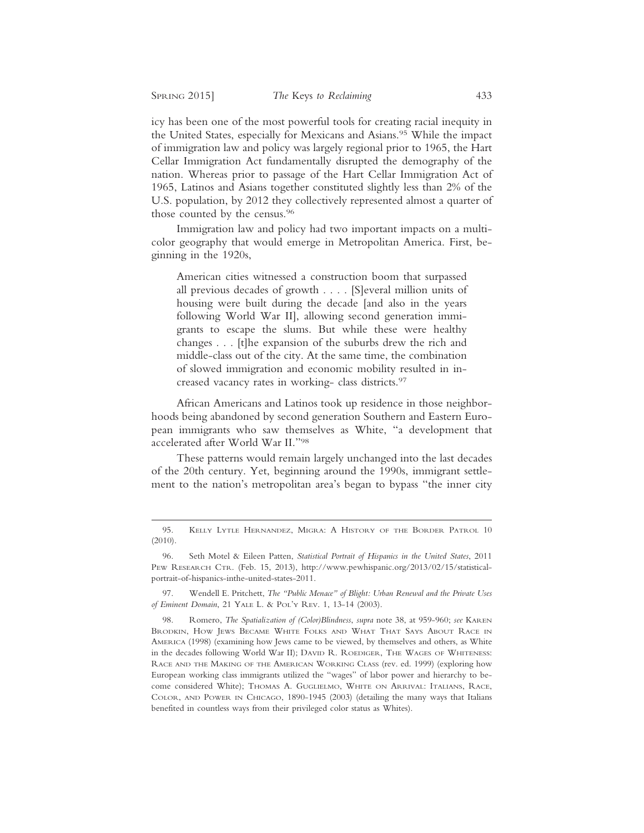icy has been one of the most powerful tools for creating racial inequity in the United States, especially for Mexicans and Asians.<sup>95</sup> While the impact of immigration law and policy was largely regional prior to 1965, the Hart Cellar Immigration Act fundamentally disrupted the demography of the nation. Whereas prior to passage of the Hart Cellar Immigration Act of 1965, Latinos and Asians together constituted slightly less than 2% of the U.S. population, by 2012 they collectively represented almost a quarter of those counted by the census.96

Immigration law and policy had two important impacts on a multicolor geography that would emerge in Metropolitan America. First, beginning in the 1920s,

American cities witnessed a construction boom that surpassed all previous decades of growth . . . . [S]everal million units of housing were built during the decade [and also in the years following World War II], allowing second generation immigrants to escape the slums. But while these were healthy changes . . . [t]he expansion of the suburbs drew the rich and middle-class out of the city. At the same time, the combination of slowed immigration and economic mobility resulted in increased vacancy rates in working- class districts.97

African Americans and Latinos took up residence in those neighborhoods being abandoned by second generation Southern and Eastern European immigrants who saw themselves as White, "a development that accelerated after World War II."98

These patterns would remain largely unchanged into the last decades of the 20th century. Yet, beginning around the 1990s, immigrant settlement to the nation's metropolitan area's began to bypass "the inner city

<sup>95.</sup> KELLY LYTLE HERNANDEZ, MIGRA: A HISTORY OF THE BORDER PATROL 10 (2010).

<sup>96.</sup> Seth Motel & Eileen Patten, *Statistical Portrait of Hispanics in the United States*, 2011 PEW RESEARCH CTR. (Feb. 15, 2013), http://www.pewhispanic.org/2013/02/15/statisticalportrait-of-hispanics-inthe-united-states-2011.

<sup>97.</sup> Wendell E. Pritchett, *The "Public Menace" of Blight: Urban Renewal and the Private Uses of Eminent Domain*, 21 YALE L. & POL'Y REV. 1, 13-14 (2003).

<sup>98.</sup> Romero, *The Spatialization of (Color)Blindness*, *supra* note 38, at 959-960; *see* KAREN BRODKIN, HOW JEWS BECAME WHITE FOLKS AND WHAT THAT SAYS ABOUT RACE IN AMERICA (1998) (examining how Jews came to be viewed, by themselves and others, as White in the decades following World War II); DAVID R. ROEDIGER, THE WAGES OF WHITENESS: RACE AND THE MAKING OF THE AMERICAN WORKING CLASS (rev. ed. 1999) (exploring how European working class immigrants utilized the "wages" of labor power and hierarchy to become considered White); THOMAS A. GUGLIELMO, WHITE ON ARRIVAL: ITALIANS, RACE, COLOR, AND POWER IN CHICAGO, 1890-1945 (2003) (detailing the many ways that Italians benefited in countless ways from their privileged color status as Whites).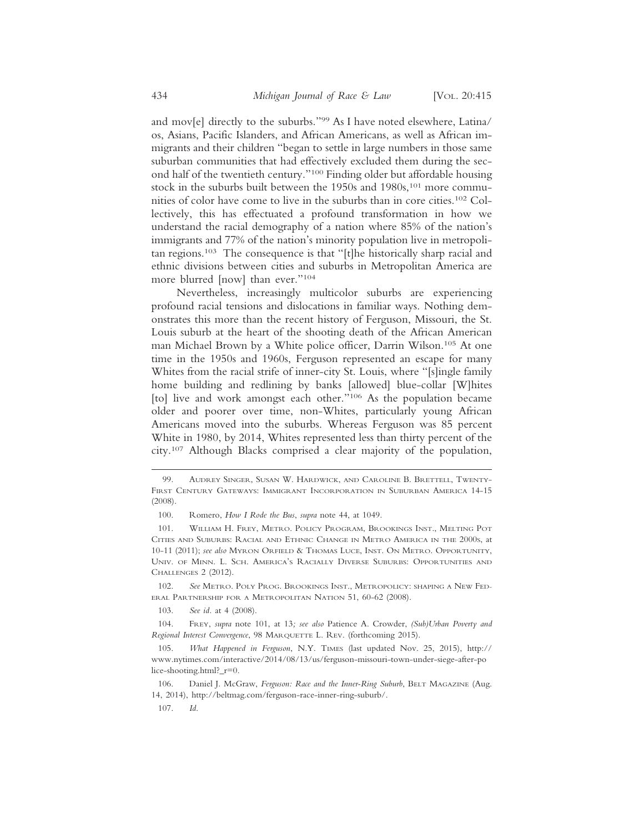and mov[e] directly to the suburbs."99 As I have noted elsewhere, Latina/ os, Asians, Pacific Islanders, and African Americans, as well as African immigrants and their children "began to settle in large numbers in those same suburban communities that had effectively excluded them during the second half of the twentieth century."100 Finding older but affordable housing stock in the suburbs built between the 1950s and 1980s,<sup>101</sup> more communities of color have come to live in the suburbs than in core cities.102 Collectively, this has effectuated a profound transformation in how we understand the racial demography of a nation where 85% of the nation's immigrants and 77% of the nation's minority population live in metropolitan regions.103 The consequence is that "[t]he historically sharp racial and ethnic divisions between cities and suburbs in Metropolitan America are more blurred [now] than ever."104

Nevertheless, increasingly multicolor suburbs are experiencing profound racial tensions and dislocations in familiar ways. Nothing demonstrates this more than the recent history of Ferguson, Missouri, the St. Louis suburb at the heart of the shooting death of the African American man Michael Brown by a White police officer, Darrin Wilson.105 At one time in the 1950s and 1960s, Ferguson represented an escape for many Whites from the racial strife of inner-city St. Louis, where "[s]ingle family home building and redlining by banks [allowed] blue-collar [W]hites [to] live and work amongst each other."106 As the population became older and poorer over time, non-Whites, particularly young African Americans moved into the suburbs. Whereas Ferguson was 85 percent White in 1980, by 2014, Whites represented less than thirty percent of the city.107 Although Blacks comprised a clear majority of the population,

103. *See id.* at 4 (2008).

104. FREY, *supra* note 101, at 13*; see also* Patience A. Crowder, *(Sub)Urban Poverty and Regional Interest Convergence*, 98 MARQUETTE L. REV. (forthcoming 2015).

<sup>99.</sup> AUDREY SINGER, SUSAN W. HARDWICK, AND CAROLINE B. BRETTELL, TWENTY-FIRST CENTURY GATEWAYS: IMMIGRANT INCORPORATION IN SUBURBAN AMERICA 14-15 (2008).

<sup>100.</sup> Romero, *How I Rode the Bus*, *supra* note 44, at 1049.

<sup>101.</sup> WILLIAM H. FREY, METRO. POLICY PROGRAM, BROOKINGS INST., MELTING POT CITIES AND SUBURBS: RACIAL AND ETHNIC CHANGE IN METRO AMERICA IN THE 2000S, at 10-11 (2011); *see also* MYRON ORFIELD & THOMAS LUCE, INST. ON METRO. OPPORTUNITY, UNIV. OF MINN. L. SCH. AMERICA'S RACIALLY DIVERSE SUBURBS: OPPORTUNITIES AND CHALLENGES 2 (2012).

<sup>102.</sup> *See* METRO. POLY PROG. BROOKINGS INST., METROPOLICY: SHAPING A NEW FED-ERAL PARTNERSHIP FOR A METROPOLITAN NATION 51, 60-62 (2008).

<sup>105.</sup> *What Happened in Ferguson*, N.Y. TIMES (last updated Nov. 25, 2015), http:// www.nytimes.com/interactive/2014/08/13/us/ferguson-missouri-town-under-siege-after-po lice-shooting.html?\_r=0.

<sup>106.</sup> Daniel J. McGraw, *Ferguson: Race and the Inner-Ring Suburb*, BELT MAGAZINE (Aug. 14, 2014), http://beltmag.com/ferguson-race-inner-ring-suburb/.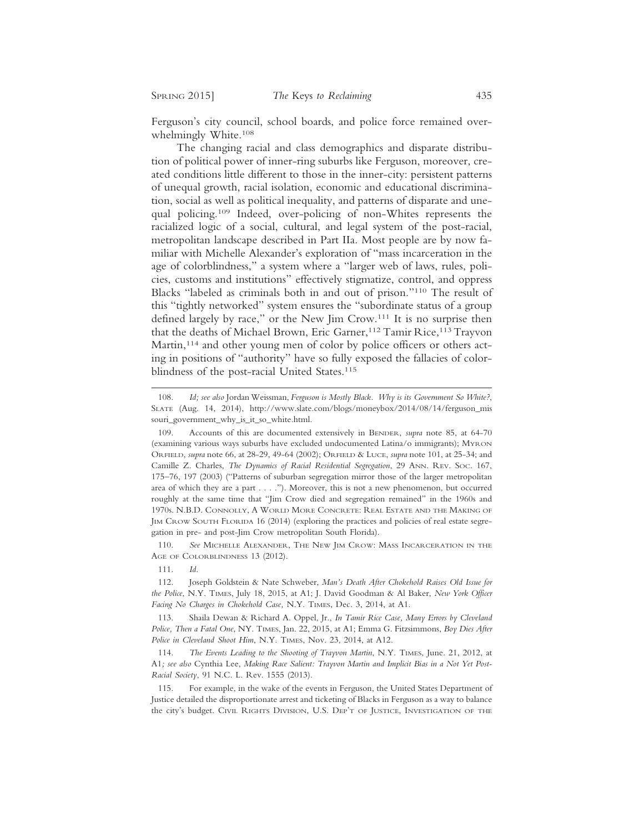Ferguson's city council, school boards, and police force remained overwhelmingly White.108

The changing racial and class demographics and disparate distribution of political power of inner-ring suburbs like Ferguson, moreover, created conditions little different to those in the inner-city: persistent patterns of unequal growth, racial isolation, economic and educational discrimination, social as well as political inequality, and patterns of disparate and unequal policing.109 Indeed, over-policing of non-Whites represents the racialized logic of a social, cultural, and legal system of the post-racial, metropolitan landscape described in Part IIa. Most people are by now familiar with Michelle Alexander's exploration of "mass incarceration in the age of colorblindness," a system where a "larger web of laws, rules, policies, customs and institutions" effectively stigmatize, control, and oppress Blacks "labeled as criminals both in and out of prison."110 The result of this "tightly networked" system ensures the "subordinate status of a group defined largely by race," or the New Jim Crow.111 It is no surprise then that the deaths of Michael Brown, Eric Garner,<sup>112</sup> Tamir Rice,<sup>113</sup> Trayvon Martin,<sup>114</sup> and other young men of color by police officers or others acting in positions of "authority" have so fully exposed the fallacies of colorblindness of the post-racial United States.<sup>115</sup>

110. *See* MICHELLE ALEXANDER, THE NEW JIM CROW: MASS INCARCERATION IN THE AGE OF COLORBLINDNESS 13 (2012).

111. *Id.*

112. Joseph Goldstein & Nate Schweber, *Man's Death After Chokehold Raises Old Issue for the Police*, N.Y. TIMES, July 18, 2015, at A1; J. David Goodman & Al Baker, *New York Officer Facing No Charges in Chokehold Case,* N.Y. TIMES, Dec. 3, 2014, at A1.

113. Shaila Dewan & Richard A. Oppel, Jr., *In Tamir Rice Case, Many Errors by Cleveland Police, Then a Fatal One*, NY. TIMES, Jan. 22, 2015, at A1; Emma G. Fitzsimmons, *Boy Dies After Police in Cleveland Shoot Him*, N.Y. TIMES, Nov. 23, 2014, at A12.

114. *The Events Leading to the Shooting of Trayvon Martin*, N.Y. TIMES, June. 21, 2012, at A1*; see also* Cynthia Lee, *Making Race Salient: Trayvon Martin and Implicit Bias in a Not Yet Post-Racial Society*, 91 N.C. L. Rev. 1555 (2013).

115. For example, in the wake of the events in Ferguson, the United States Department of Justice detailed the disproportionate arrest and ticketing of Blacks in Ferguson as a way to balance the city's budget. CIVIL RIGHTS DIVISION, U.S. DEP'T OF JUSTICE, INVESTIGATION OF THE

<sup>108.</sup> *Id; see also* Jordan Weissman, *Ferguson is Mostly Black. Why is its Government So White?*, SLATE (Aug. 14, 2014), http://www.slate.com/blogs/moneybox/2014/08/14/ferguson\_mis souri\_government\_why\_is\_it\_so\_white.html.

<sup>109.</sup> Accounts of this are documented extensively in BENDER, *supra* note 85, at 64-70 (examining various ways suburbs have excluded undocumented Latina/o immigrants); MYRON ORFIELD, *supra* note 66, at 28-29, 49-64 (2002); ORFIELD & LUCE, *supra* note 101, at 25-34; and Camille Z. Charles, *The Dynamics of Racial Residential Segregation*, 29 ANN. REV. SOC. 167, 175–76, 197 (2003) ("Patterns of suburban segregation mirror those of the larger metropolitan area of which they are a part . . . ."). Moreover, this is not a new phenomenon, but occurred roughly at the same time that "Jim Crow died and segregation remained" in the 1960s and 1970s. N.B.D. CONNOLLY, A WORLD MORE CONCRETE: REAL ESTATE AND THE MAKING OF JIM CROW SOUTH FLORIDA 16 (2014) (exploring the practices and policies of real estate segregation in pre- and post-Jim Crow metropolitan South Florida).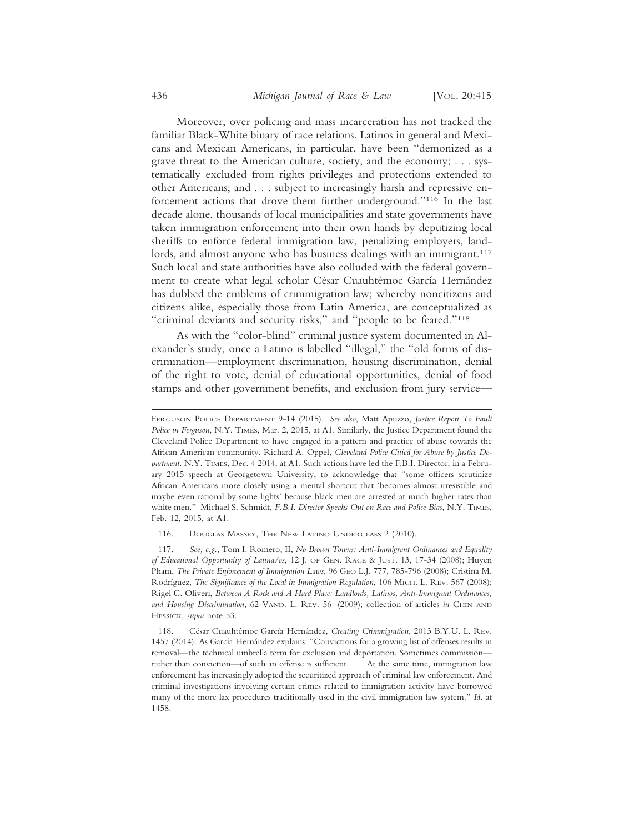Moreover, over policing and mass incarceration has not tracked the familiar Black-White binary of race relations. Latinos in general and Mexicans and Mexican Americans, in particular, have been "demonized as a grave threat to the American culture, society, and the economy; . . . systematically excluded from rights privileges and protections extended to other Americans; and . . . subject to increasingly harsh and repressive enforcement actions that drove them further underground."116 In the last decade alone, thousands of local municipalities and state governments have taken immigration enforcement into their own hands by deputizing local sheriffs to enforce federal immigration law, penalizing employers, landlords, and almost anyone who has business dealings with an immigrant.<sup>117</sup> Such local and state authorities have also colluded with the federal government to create what legal scholar César Cuauhtémoc García Hernández has dubbed the emblems of crimmigration law; whereby noncitizens and citizens alike, especially those from Latin America, are conceptualized as "criminal deviants and security risks," and "people to be feared."118

As with the "color-blind" criminal justice system documented in Alexander's study, once a Latino is labelled "illegal," the "old forms of discrimination—employment discrimination, housing discrimination, denial of the right to vote, denial of educational opportunities, denial of food stamps and other government benefits, and exclusion from jury service—

116. DOUGLAS MASSEY, THE NEW LATINO UNDERCLASS 2 (2010).

117. *See, e.g.*, Tom I. Romero, II, *No Brown Towns: Anti-Immigrant Ordinances and Equality of Educational Opportunity of Latina/os*, 12 J. OF GEN. RACE & JUST. 13, 17-34 (2008); Huyen Pham, *The Private Enforcement of Immigration Laws*, 96 GEO L.J. 777, 785-796 (2008); Cristina M. Rodríguez, *The Significance of the Local in Immigration Regulation*, 106 MICH. L. REV. 567 (2008); Rigel C. Oliveri, *Between A Rock and A Hard Place: Landlords, Latinos, Anti-Immigrant Ordinances, and Housing Discrimination*, 62 VAND. L. REV. 56 (2009); collection of articles *in* CHIN AND HESSICK, *supra* note 53.

118. César Cuauhtémoc García Hernández, *Creating Crimmigration*, 2013 B.Y.U. L. REV. 1457 (2014). As García Hernández explains: "Convictions for a growing list of offenses results in removal—the technical umbrella term for exclusion and deportation. Sometimes commission rather than conviction—of such an offense is sufficient. . . . At the same time, immigration law enforcement has increasingly adopted the securitized approach of criminal law enforcement. And criminal investigations involving certain crimes related to immigration activity have borrowed many of the more lax procedures traditionally used in the civil immigration law system." *Id.* at 1458.

FERGUSON POLICE DEPARTMENT 9-14 (2015). *See also*, Matt Apuzzo, *Justice Report To Fault Police in Ferguson*, N.Y. TIMES, Mar. 2, 2015, at A1. Similarly, the Justice Department found the Cleveland Police Department to have engaged in a pattern and practice of abuse towards the African American community. Richard A. Oppel, *Cleveland Police Citied for Abuse by Justice Department*. N.Y. TIMES, Dec. 4 2014, at A1. Such actions have led the F.B.I. Director, in a February 2015 speech at Georgetown University, to acknowledge that "some officers scrutinize African Americans more closely using a mental shortcut that 'becomes almost irresistible and maybe even rational by some lights' because black men are arrested at much higher rates than white men." Michael S. Schmidt, *F.B.I. Director Speaks Out on Race and Police Bias*, N.Y. TIMES, Feb. 12, 2015, at A1.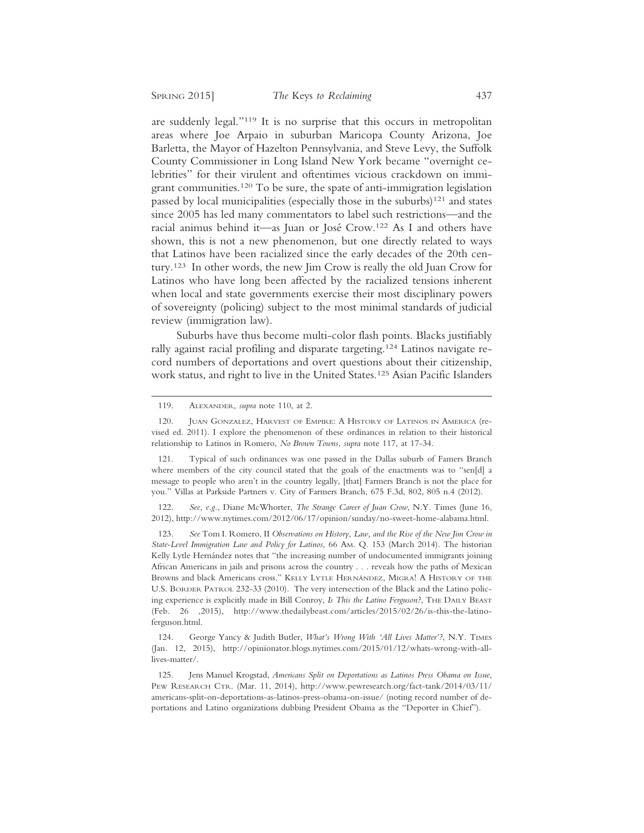are suddenly legal."119 It is no surprise that this occurs in metropolitan areas where Joe Arpaio in suburban Maricopa County Arizona, Joe Barletta, the Mayor of Hazelton Pennsylvania, and Steve Levy, the Suffolk County Commissioner in Long Island New York became "overnight celebrities" for their virulent and oftentimes vicious crackdown on immigrant communities.120 To be sure, the spate of anti-immigration legislation passed by local municipalities (especially those in the suburbs) $121$  and states since 2005 has led many commentators to label such restrictions—and the racial animus behind it—as Juan or José Crow.<sup>122</sup> As I and others have shown, this is not a new phenomenon, but one directly related to ways that Latinos have been racialized since the early decades of the 20th century.123 In other words, the new Jim Crow is really the old Juan Crow for Latinos who have long been affected by the racialized tensions inherent when local and state governments exercise their most disciplinary powers of sovereignty (policing) subject to the most minimal standards of judicial review (immigration law).

Suburbs have thus become multi-color flash points. Blacks justifiably rally against racial profiling and disparate targeting.124 Latinos navigate record numbers of deportations and overt questions about their citizenship, work status, and right to live in the United States.125 Asian Pacific Islanders

122. *See, e.g.*, Diane McWhorter, *The Strange Career of Juan Crow*, N.Y. Times (June 16, 2012), http://www.nytimes.com/2012/06/17/opinion/sunday/no-sweet-home-alabama.html.

123. *See* Tom I. Romero, II *Observations on History, Law, and the Rise of the New Jim Crow in State-Level Immigration Law and Policy for Latinos,* 66 AM. Q. 153 (March 2014). The historian Kelly Lytle Hernández notes that "the increasing number of undocumented immigrants joining African Americans in jails and prisons across the country . . . reveals how the paths of Mexican Browns and black Americans cross." KELLY LYTLE HERNÁNDEZ, MIGRA! A HISTORY OF THE U.S. BORDER PATROL 232-33 (2010). The very intersection of the Black and the Latino policing experience is explicitly made in Bill Conroy, *Is This the Latino Ferguson?*, THE DAILY BEAST (Feb. 26 ,2015), http://www.thedailybeast.com/articles/2015/02/26/is-this-the-latinoferguson.html.

124. George Yancy & Judith Butler, *What's Wrong With 'All Lives Matter'?*, N.Y. TIMES (Jan. 12, 2015), http://opinionator.blogs.nytimes.com/2015/01/12/whats-wrong-with-alllives-matter/.

125. Jens Manuel Krogstad, *Americans Split on Deportations as Latinos Press Obama on Issue*, PEW RESEARCH CTR. (Mar. 11, 2014), http://www.pewresearch.org/fact-tank/2014/03/11/ americans-split-on-deportations-as-latinos-press-obama-on-issue/ (noting record number of deportations and Latino organizations dubbing President Obama as the "Deporter in Chief").

<sup>119.</sup> ALEXANDER, *supra* note 110, at 2.

<sup>120.</sup> JUAN GONZALEZ, HARVEST OF EMPIRE: A HISTORY OF LATINOS IN AMERICA (revised ed. 2011). I explore the phenomenon of these ordinances in relation to their historical relationship to Latinos in Romero, *No Brown Towns*, *supra* note 117, at 17-34.

<sup>121.</sup> Typical of such ordinances was one passed in the Dallas suburb of Famers Branch where members of the city council stated that the goals of the enactments was to "sen[d] a message to people who aren't in the country legally, [that] Farmers Branch is not the place for you." Villas at Parkside Partners v. City of Farmers Branch, 675 F.3d, 802, 805 n.4 (2012).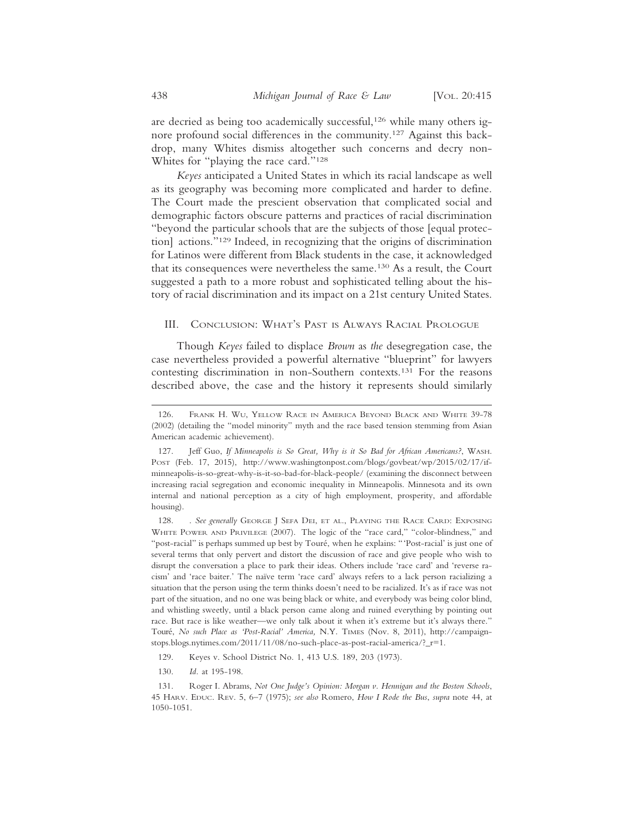are decried as being too academically successful,<sup>126</sup> while many others ignore profound social differences in the community.127 Against this backdrop, many Whites dismiss altogether such concerns and decry non-Whites for "playing the race card."128

*Keyes* anticipated a United States in which its racial landscape as well as its geography was becoming more complicated and harder to define. The Court made the prescient observation that complicated social and demographic factors obscure patterns and practices of racial discrimination "beyond the particular schools that are the subjects of those [equal protection] actions."129 Indeed, in recognizing that the origins of discrimination for Latinos were different from Black students in the case, it acknowledged that its consequences were nevertheless the same.130 As a result, the Court suggested a path to a more robust and sophisticated telling about the history of racial discrimination and its impact on a 21st century United States.

#### III. CONCLUSION: WHAT'S PAST IS ALWAYS RACIAL PROLOGUE

Though *Keyes* failed to displace *Brown* as *the* desegregation case, the case nevertheless provided a powerful alternative "blueprint" for lawyers contesting discrimination in non-Southern contexts.131 For the reasons described above, the case and the history it represents should similarly

<sup>126.</sup> FRANK H. WU, YELLOW RACE IN AMERICA BEYOND BLACK AND WHITE 39-78 (2002) (detailing the "model minority" myth and the race based tension stemming from Asian American academic achievement).

<sup>127.</sup> Jeff Guo, *If Minneapolis is So Great, Why is it So Bad for African Americans?*, WASH. POST (Feb. 17, 2015), http://www.washingtonpost.com/blogs/govbeat/wp/2015/02/17/ifminneapolis-is-so-great-why-is-it-so-bad-for-black-people/ (examining the disconnect between increasing racial segregation and economic inequality in Minneapolis. Minnesota and its own internal and national perception as a city of high employment, prosperity, and affordable housing).

<sup>128. .</sup> *See generally* GEORGE J SEFA DEI, ET AL., PLAYING THE RACE CARD: EXPOSING WHITE POWER AND PRIVILEGE (2007). The logic of the "race card," "color-blindness," and "post-racial" is perhaps summed up best by Touré, when he explains: "'Post-racial' is just one of several terms that only pervert and distort the discussion of race and give people who wish to disrupt the conversation a place to park their ideas. Others include 'race card' and 'reverse racism' and 'race baiter.' The naïve term 'race card' always refers to a lack person racializing a situation that the person using the term thinks doesn't need to be racialized. It's as if race was not part of the situation, and no one was being black or white, and everybody was being color blind, and whistling sweetly, until a black person came along and ruined everything by pointing out race. But race is like weather—we only talk about it when it's extreme but it's always there." Tour´e, *No such Place as 'Post-Racial' America,* N.Y. TIMES (Nov. 8, 2011), http://campaignstops.blogs.nytimes.com/2011/11/08/no-such-place-as-post-racial-america/?\_r=1.

<sup>129.</sup> Keyes v. School District No. 1, 413 U.S. 189, 203 (1973).

<sup>130.</sup> *Id.* at 195-198.

<sup>131.</sup> Roger I. Abrams, *Not One Judge's Opinion: Morgan v. Hennigan and the Boston Schools*, 45 HARV. EDUC. REV. 5, 6–7 (1975); *see also* Romero, *How I Rode the Bus*, *supra* note 44, at 1050-1051.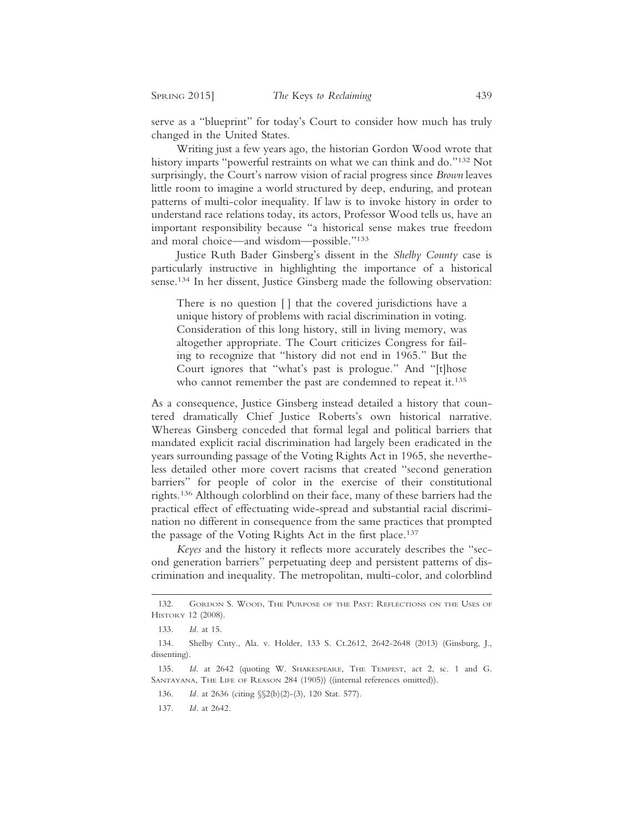serve as a "blueprint" for today's Court to consider how much has truly changed in the United States.

Writing just a few years ago, the historian Gordon Wood wrote that history imparts "powerful restraints on what we can think and do."132 Not surprisingly, the Court's narrow vision of racial progress since *Brown* leaves little room to imagine a world structured by deep, enduring, and protean patterns of multi-color inequality. If law is to invoke history in order to understand race relations today, its actors, Professor Wood tells us, have an important responsibility because "a historical sense makes true freedom and moral choice—and wisdom—possible."133

Justice Ruth Bader Ginsberg's dissent in the *Shelby County* case is particularly instructive in highlighting the importance of a historical sense.134 In her dissent, Justice Ginsberg made the following observation:

There is no question [ ] that the covered jurisdictions have a unique history of problems with racial discrimination in voting. Consideration of this long history, still in living memory, was altogether appropriate. The Court criticizes Congress for failing to recognize that "history did not end in 1965." But the Court ignores that "what's past is prologue." And "[t]hose who cannot remember the past are condemned to repeat it.<sup>135</sup>

As a consequence, Justice Ginsberg instead detailed a history that countered dramatically Chief Justice Roberts's own historical narrative. Whereas Ginsberg conceded that formal legal and political barriers that mandated explicit racial discrimination had largely been eradicated in the years surrounding passage of the Voting Rights Act in 1965, she nevertheless detailed other more covert racisms that created "second generation barriers" for people of color in the exercise of their constitutional rights.136 Although colorblind on their face, many of these barriers had the practical effect of effectuating wide-spread and substantial racial discrimination no different in consequence from the same practices that prompted the passage of the Voting Rights Act in the first place.<sup>137</sup>

*Keyes* and the history it reflects more accurately describes the "second generation barriers" perpetuating deep and persistent patterns of discrimination and inequality. The metropolitan, multi-color, and colorblind

<sup>132.</sup> GORDON S. WOOD, THE PURPOSE OF THE PAST: REFLECTIONS ON THE USES OF HISTORY 12 (2008).

<sup>133.</sup> *Id.* at 15.

<sup>134.</sup> Shelby Cnty., Ala. v. Holder, 133 S. Ct.2612, 2642-2648 (2013) (Ginsburg, J., dissenting).

<sup>135.</sup> *Id*. at 2642 (quoting W. SHAKESPEARE, THE TEMPEST, act 2, sc. 1 and G. SANTAYANA, THE LIFE OF REASON 284 (1905)) ((internal references omitted)).

<sup>136.</sup> *Id.* at 2636 (citing §§2(b)(2)-(3), 120 Stat. 577).

<sup>137.</sup> *Id.* at 2642.